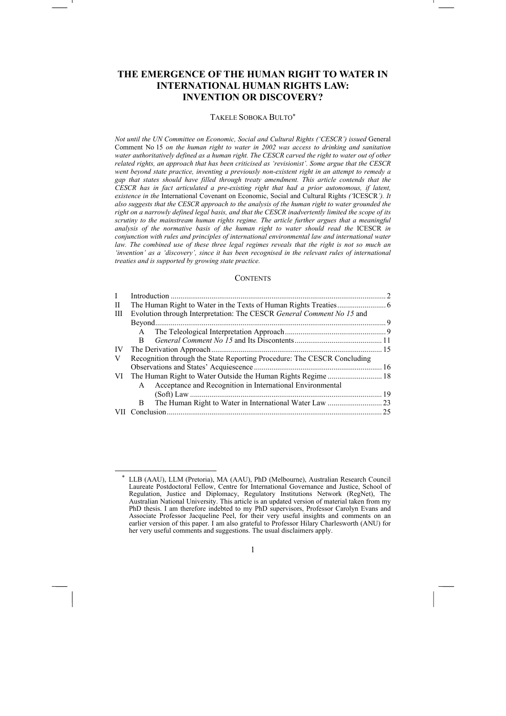# **THE EMERGENCE OF THE HUMAN RIGHT TO WATER IN INTERNATIONAL HUMAN RIGHTS LAW: INVENTION OR DISCOVERY?**

### TAKELE SOBOKA BULTO\*

*Not until the UN Committee on Economic, Social and Cultural Rights ('CESCR') issued General* Comment No 15 *on the human right to water in 2002 was access to drinking and sanitation water authoritatively defined as a human right. The CESCR carved the right to water out of other related rights, an approach that has been criticised as 'revisionist'. Some argue that the CESCR went beyond state practice, inventing a previously non-existent right in an attempt to remedy a gap that states should have filled through treaty amendment. This article contends that the CESCR has in fact articulated a pre-existing right that had a prior autonomous, if latent, existence in the* International Covenant on Economic, Social and Cultural Rights *('*ICESCR*'). It also suggests that the CESCR approach to the analysis of the human right to water grounded the right on a narrowly defined legal basis, and that the CESCR inadvertently limited the scope of its scrutiny to the mainstream human rights regime. The article further argues that a meaningful*  analysis of the normative basis of the human right to water should read the ICESCR in *conjunction with rules and principles of international environmental law and international water law. The combined use of these three legal regimes reveals that the right is not so much an 'invention' as a 'discovery', since it has been recognised in the relevant rules of international treaties and is supported by growing state practice.* 

# **CONTENTS**

| $\mathbf{I}$ |                                                                         |                                                           |    |
|--------------|-------------------------------------------------------------------------|-----------------------------------------------------------|----|
| П            |                                                                         |                                                           |    |
| Ш            | Evolution through Interpretation: The CESCR General Comment No 15 and   |                                                           |    |
|              |                                                                         |                                                           |    |
|              | A                                                                       |                                                           |    |
|              | B.                                                                      |                                                           |    |
| IV           |                                                                         |                                                           |    |
| V            | Recognition through the State Reporting Procedure: The CESCR Concluding |                                                           |    |
|              |                                                                         |                                                           |    |
| VI           |                                                                         |                                                           |    |
|              | A                                                                       | Acceptance and Recognition in International Environmental |    |
|              |                                                                         |                                                           |    |
|              | B.                                                                      |                                                           |    |
|              |                                                                         |                                                           | 25 |
|              |                                                                         |                                                           |    |

 <sup>\*</sup> LLB (AAU), LLM (Pretoria), MA (AAU), PhD (Melbourne), Australian Research Council Laureate Postdoctoral Fellow, Centre for International Governance and Justice, School of Regulation, Justice and Diplomacy, Regulatory Institutions Network (RegNet), The Australian National University. This article is an updated version of material taken from my PhD thesis. I am therefore indebted to my PhD supervisors, Professor Carolyn Evans and Associate Professor Jacqueline Peel, for their very useful insights and comments on an earlier version of this paper. I am also grateful to Professor Hilary Charlesworth (ANU) for her very useful comments and suggestions. The usual disclaimers apply.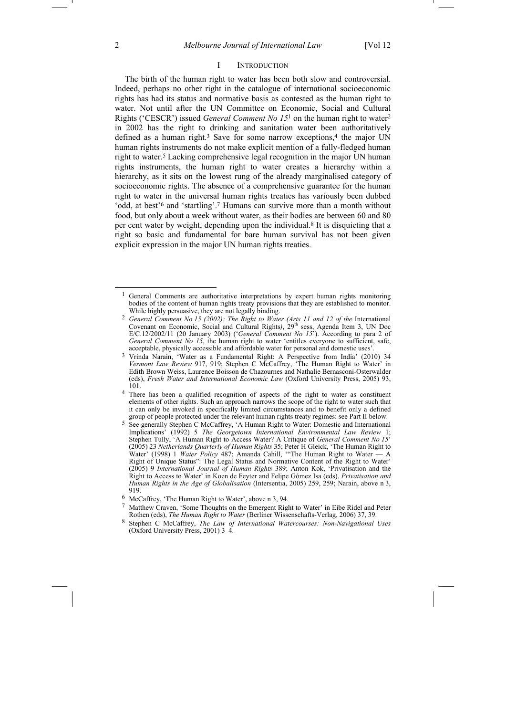#### I INTRODUCTION

The birth of the human right to water has been both slow and controversial. Indeed, perhaps no other right in the catalogue of international socioeconomic rights has had its status and normative basis as contested as the human right to water. Not until after the UN Committee on Economic, Social and Cultural Rights ('CESCR') issued *General Comment No 15*1 on the human right to water2 in 2002 has the right to drinking and sanitation water been authoritatively defined as a human right.<sup>3</sup> Save for some narrow exceptions,<sup>4</sup> the major UN human rights instruments do not make explicit mention of a fully-fledged human right to water.<sup>5</sup> Lacking comprehensive legal recognition in the major UN human rights instruments, the human right to water creates a hierarchy within a hierarchy, as it sits on the lowest rung of the already marginalised category of socioeconomic rights. The absence of a comprehensive guarantee for the human right to water in the universal human rights treaties has variously been dubbed 'odd, at best'6 and 'startling'.7 Humans can survive more than a month without food, but only about a week without water, as their bodies are between 60 and 80 per cent water by weight, depending upon the individual.8 It is disquieting that a right so basic and fundamental for bare human survival has not been given explicit expression in the major UN human rights treaties.

<sup>&</sup>lt;sup>1</sup> General Comments are authoritative interpretations by expert human rights monitoring bodies of the content of human rights treaty provisions that they are established to monitor. While highly persuasive, they are not legally binding.

<sup>&</sup>lt;sup>2</sup> General Comment No 15 (2002): The Right to Water (Arts 11 and 12 of the International Covenant on Economic, Social and Cultural Rights), 29<sup>th</sup> sess, Agenda Item 3, UN Doc E/C.12/2002/11 (20 January 2003) (*'General Comment No 15'*). According to para 2 of *General Comment No 15*, the human right to water 'entitles everyone to sufficient, safe, acceptable, physically accessible and affordable water for personal and domestic uses'.

<sup>3</sup> Vrinda Narain, 'Water as a Fundamental Right: A Perspective from India' (2010) 34 *Vermont Law Review* 917, 919; Stephen C McCaffrey, 'The Human Right to Water' in Edith Brown Weiss, Laurence Boisson de Chazournes and Nathalie Bernasconi-Osterwalder (eds), *Fresh Water and International Economic Law* (Oxford University Press, 2005) 93, 101.

<sup>4</sup> There has been a qualified recognition of aspects of the right to water as constituent elements of other rights. Such an approach narrows the scope of the right to water such that it can only be invoked in specifically limited circumstances and to benefit only a defined group of people protected under the relevant human rights treaty regimes: see Part II below.

<sup>&</sup>lt;sup>5</sup> See generally Stephen C McCaffrey, 'A Human Right to Water: Domestic and International Implications' (1992) 5 *The Georgetown International Environmental Law Review* 1; Stephen Tully, 'A Human Right to Access Water? A Critique of *General Comment No 15*' (2005) 23 *Netherlands Quarterly of Human Rights* 35; Peter H Gleick, 'The Human Right to Water' (1998) 1 *Water Policy* 487; Amanda Cahill, '"The Human Right to Water — A Right of Unique Status": The Legal Status and Normative Content of the Right to Water' (2005) 9 *International Journal of Human Rights* 389; Anton Kok, 'Privatisation and the Right to Access to Water' in Koen de Feyter and Felipe Gómez Isa (eds), *Privatisation and Human Rights in the Age of Globalisation* (Intersentia, 2005) 259, 259; Narain, above n 3, 919.

<sup>6</sup> McCaffrey, 'The Human Right to Water', above n 3, 94.

<sup>7</sup> Matthew Craven, 'Some Thoughts on the Emergent Right to Water' in Eibe Ridel and Peter Rothen (eds), *The Human Right to Water* (Berliner Wissenschafts-Verlag, 2006) 37, 39.

<sup>8</sup> Stephen C McCaffrey, *The Law of International Watercourses: Non-Navigational Uses* (Oxford University Press, 2001) 3–4.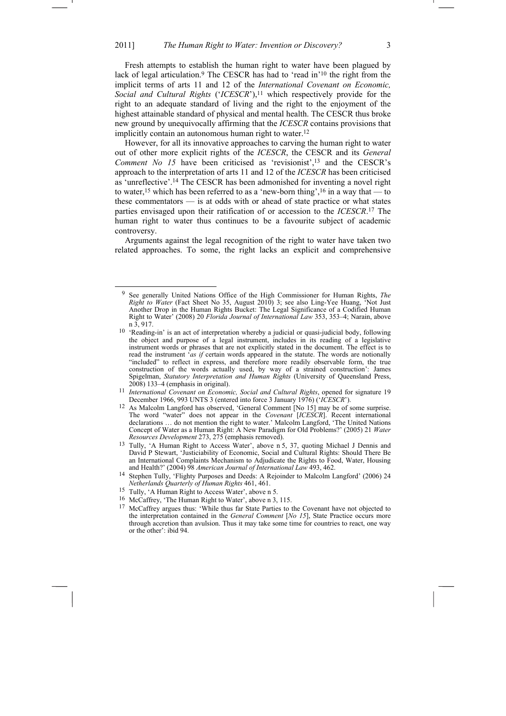Fresh attempts to establish the human right to water have been plagued by lack of legal articulation.<sup>9</sup> The CESCR has had to 'read in'<sup>10</sup> the right from the implicit terms of arts 11 and 12 of the *International Covenant on Economic, Social and Cultural Rights* ('*ICESCR*'),<sup>11</sup> which respectively provide for the right to an adequate standard of living and the right to the enjoyment of the highest attainable standard of physical and mental health. The CESCR thus broke new ground by unequivocally affirming that the *ICESCR* contains provisions that implicitly contain an autonomous human right to water.12

However, for all its innovative approaches to carving the human right to water out of other more explicit rights of the *ICESCR*, the CESCR and its *General Comment No 15* have been criticised as 'revisionist',13 and the CESCR's approach to the interpretation of arts 11 and 12 of the *ICESCR* has been criticised as 'unreflective'.14 The CESCR has been admonished for inventing a novel right to water,<sup>15</sup> which has been referred to as a 'new-born thing', <sup>16</sup> in a way that — to these commentators — is at odds with or ahead of state practice or what states parties envisaged upon their ratification of or accession to the *ICESCR*.17 The human right to water thus continues to be a favourite subject of academic controversy.

Arguments against the legal recognition of the right to water have taken two related approaches. To some, the right lacks an explicit and comprehensive

 <sup>9</sup> See generally United Nations Office of the High Commissioner for Human Rights, *The Right to Water* (Fact Sheet No 35, August 2010) 3; see also Ling-Yee Huang, 'Not Just Another Drop in the Human Rights Bucket: The Legal Significance of a Codified Human Right to Water' (2008) 20 *Florida Journal of International Law* 353, 353–4; Narain, above n 3, 917.

 $10$  'Reading-in' is an act of interpretation whereby a judicial or quasi-judicial body, following the object and purpose of a legal instrument, includes in its reading of a legislative instrument words or phrases that are not explicitly stated in the document. The effect is to read the instrument '*as if* certain words appeared in the statute. The words are notionally "included" to reflect in express, and therefore more readily observable form, the true construction of the words actually used, by way of a strained construction': James Spigelman, *Statutory Interpretation and Human Rights* (University of Queensland Press, 2008) 133–4 (emphasis in original).

<sup>11</sup> *International Covenant on Economic, Social and Cultural Rights*, opened for signature 19 December 1966, 993 UNTS 3 (entered into force 3 January 1976) ('*ICESCR*').

<sup>12</sup> As Malcolm Langford has observed, 'General Comment [No 15] may be of some surprise. The word "water" does not appear in the *Covenant* [*ICESCR*]. Recent international declarations … do not mention the right to water.' Malcolm Langford, 'The United Nations Concept of Water as a Human Right: A New Paradigm for Old Problems?' (2005) 21 *Water Resources Development* 273, 275 (emphasis removed).

<sup>13</sup> Tully, 'A Human Right to Access Water', above n 5, 37, quoting Michael J Dennis and David P Stewart, 'Justiciability of Economic, Social and Cultural Rights: Should There Be an International Complaints Mechanism to Adjudicate the Rights to Food, Water, Housing and Health?' (2004) 98 *American Journal of International Law* 493, 462.

<sup>14</sup> Stephen Tully, 'Flighty Purposes and Deeds: A Rejoinder to Malcolm Langford' (2006) 24 *Netherlands Quarterly of Human Rights* 461, 461.

<sup>15</sup> Tully, 'A Human Right to Access Water', above n 5.

<sup>16</sup> McCaffrey, 'The Human Right to Water', above n 3, 115.

<sup>17</sup> McCaffrey argues thus: 'While thus far State Parties to the Covenant have not objected to the interpretation contained in the *General Comment* [*No 15*], State Practice occurs more through accretion than avulsion. Thus it may take some time for countries to react, one way or the other': ibid 94.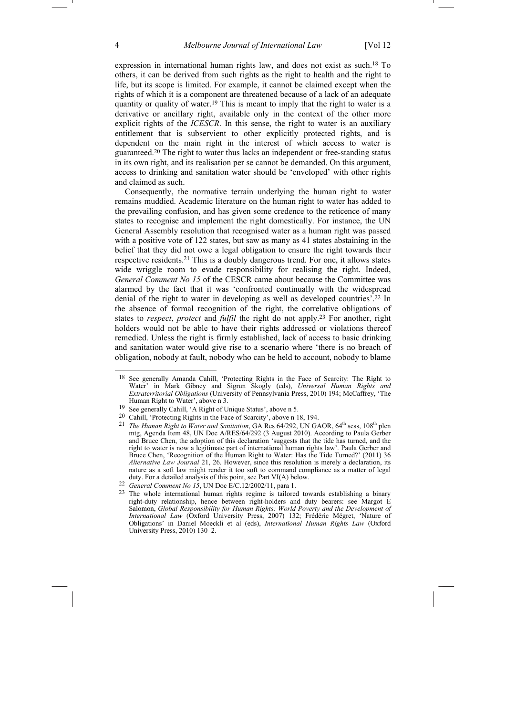expression in international human rights law, and does not exist as such.18 To others, it can be derived from such rights as the right to health and the right to life, but its scope is limited. For example, it cannot be claimed except when the rights of which it is a component are threatened because of a lack of an adequate quantity or quality of water.<sup>19</sup> This is meant to imply that the right to water is a derivative or ancillary right, available only in the context of the other more explicit rights of the *ICESCR*. In this sense, the right to water is an auxiliary entitlement that is subservient to other explicitly protected rights, and is dependent on the main right in the interest of which access to water is guaranteed.20 The right to water thus lacks an independent or free-standing status in its own right, and its realisation per se cannot be demanded. On this argument, access to drinking and sanitation water should be 'enveloped' with other rights and claimed as such.

Consequently, the normative terrain underlying the human right to water remains muddied. Academic literature on the human right to water has added to the prevailing confusion, and has given some credence to the reticence of many states to recognise and implement the right domestically. For instance, the UN General Assembly resolution that recognised water as a human right was passed with a positive vote of 122 states, but saw as many as 41 states abstaining in the belief that they did not owe a legal obligation to ensure the right towards their respective residents.21 This is a doubly dangerous trend. For one, it allows states wide wriggle room to evade responsibility for realising the right. Indeed, *General Comment No 15* of the CESCR came about because the Committee was alarmed by the fact that it was 'confronted continually with the widespread denial of the right to water in developing as well as developed countries'.22 In the absence of formal recognition of the right, the correlative obligations of states to *respect*, *protect* and *fulfil* the right do not apply.23 For another, right holders would not be able to have their rights addressed or violations thereof remedied. Unless the right is firmly established, lack of access to basic drinking and sanitation water would give rise to a scenario where 'there is no breach of obligation, nobody at fault, nobody who can be held to account, nobody to blame

<sup>18</sup> See generally Amanda Cahill, 'Protecting Rights in the Face of Scarcity: The Right to Water' in Mark Gibney and Sigrun Skogly (eds), *Universal Human Rights and Extraterritorial Obligations* (University of Pennsylvania Press, 2010) 194; McCaffrey, 'The Human Right to Water', above n 3.

<sup>19</sup> See generally Cahill, 'A Right of Unique Status', above n 5.

<sup>20</sup> Cahill, 'Protecting Rights in the Face of Scarcity', above n 18, 194.

<sup>&</sup>lt;sup>21</sup> *The Human Right to Water and Sanitation*, GA Res 64/292, UN GAOR, 64<sup>th</sup> sess, 108<sup>th</sup> plen mtg, Agenda Item 48, UN Doc A/RES/64/292 (3 August 2010). According to Paula Gerber and Bruce Chen, the adoption of this declaration 'suggests that the tide has turned, and the right to water is now a legitimate part of international human rights law'. Paula Gerber and Bruce Chen, 'Recognition of the Human Right to Water: Has the Tide Turned?' (2011) 36 *Alternative Law Journal* 21, 26. However, since this resolution is merely a declaration, its nature as a soft law might render it too soft to command compliance as a matter of legal duty. For a detailed analysis of this point, see Part VI(A) below.

<sup>22</sup> *General Comment No 15*, UN Doc E/C.12/2002/11, para 1.

<sup>23</sup> The whole international human rights regime is tailored towards establishing a binary right-duty relationship, hence between right-holders and duty bearers: see Margot E Salomon, *Global Responsibility for Human Rights: World Poverty and the Development of International Law* (Oxford University Press, 2007) 132; Frédéric Mégret, 'Nature of Obligations' in Daniel Moeckli et al (eds), *International Human Rights Law* (Oxford University Press, 2010) 130–2.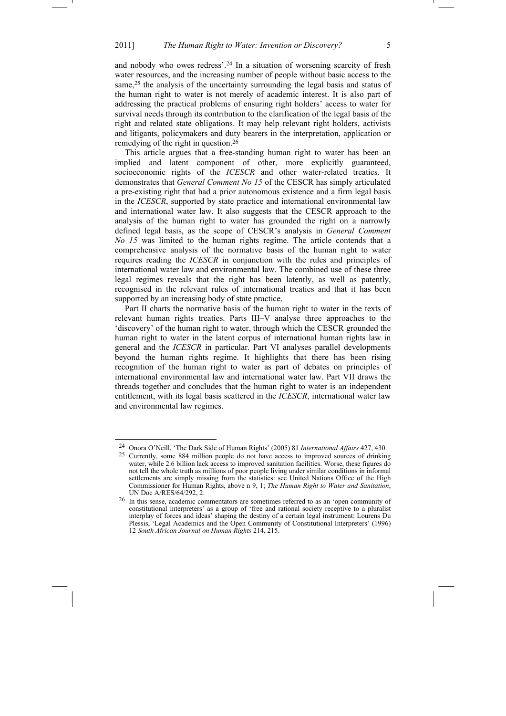and nobody who owes redress'.24 In a situation of worsening scarcity of fresh water resources, and the increasing number of people without basic access to the same,<sup>25</sup> the analysis of the uncertainty surrounding the legal basis and status of the human right to water is not merely of academic interest. It is also part of addressing the practical problems of ensuring right holders' access to water for survival needs through its contribution to the clarification of the legal basis of the right and related state obligations. It may help relevant right holders, activists and litigants, policymakers and duty bearers in the interpretation, application or remedying of the right in question.26

This article argues that a free-standing human right to water has been an implied and latent component of other, more explicitly guaranteed, socioeconomic rights of the *ICESCR* and other water-related treaties. It demonstrates that *General Comment No 15* of the CESCR has simply articulated a pre-existing right that had a prior autonomous existence and a firm legal basis in the *ICESCR*, supported by state practice and international environmental law and international water law. It also suggests that the CESCR approach to the analysis of the human right to water has grounded the right on a narrowly defined legal basis, as the scope of CESCR's analysis in *General Comment No 15* was limited to the human rights regime. The article contends that a comprehensive analysis of the normative basis of the human right to water requires reading the *ICESCR* in conjunction with the rules and principles of international water law and environmental law. The combined use of these three legal regimes reveals that the right has been latently, as well as patently, recognised in the relevant rules of international treaties and that it has been supported by an increasing body of state practice.

Part II charts the normative basis of the human right to water in the texts of relevant human rights treaties. Parts III–V analyse three approaches to the 'discovery' of the human right to water, through which the CESCR grounded the human right to water in the latent corpus of international human rights law in general and the *ICESCR* in particular. Part VI analyses parallel developments beyond the human rights regime. It highlights that there has been rising recognition of the human right to water as part of debates on principles of international environmental law and international water law. Part VII draws the threads together and concludes that the human right to water is an independent entitlement, with its legal basis scattered in the *ICESCR*, international water law and environmental law regimes.

<sup>24</sup> Onora O'Neill, 'The Dark Side of Human Rights' (2005) 81 *International Affairs* 427, 430.

<sup>25</sup> Currently, some 884 million people do not have access to improved sources of drinking water, while 2.6 billion lack access to improved sanitation facilities. Worse, these figures do not tell the whole truth as millions of poor people living under similar conditions in informal settlements are simply missing from the statistics: see United Nations Office of the High Commissioner for Human Rights, above n 9, 1; *The Human Right to Water and Sanitation*, UN Doc A/RES/64/292, 2.

<sup>26</sup> In this sense, academic commentators are sometimes referred to as an 'open community of constitutional interpreters' as a group of 'free and rational society receptive to a pluralist interplay of forces and ideas' shaping the destiny of a certain legal instrument: Lourens Du Plessis, 'Legal Academics and the Open Community of Constitutional Interpreters' (1996) 12 *South African Journal on Human Rights* 214, 215.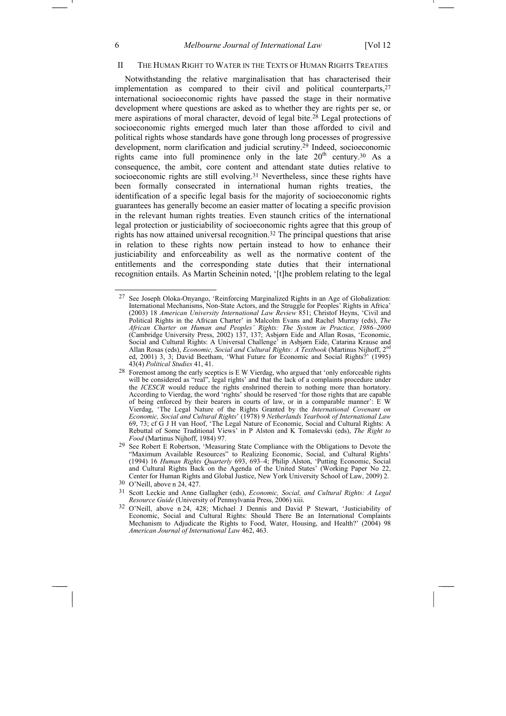-

# II THE HUMAN RIGHT TO WATER IN THE TEXTS OF HUMAN RIGHTS TREATIES

Notwithstanding the relative marginalisation that has characterised their implementation as compared to their civil and political counterparts,27 international socioeconomic rights have passed the stage in their normative development where questions are asked as to whether they are rights per se, or mere aspirations of moral character, devoid of legal bite.28 Legal protections of socioeconomic rights emerged much later than those afforded to civil and political rights whose standards have gone through long processes of progressive development, norm clarification and judicial scrutiny.29 Indeed, socioeconomic rights came into full prominence only in the late 20<sup>th</sup> century.<sup>30</sup> As a consequence, the ambit, core content and attendant state duties relative to socioeconomic rights are still evolving.<sup>31</sup> Nevertheless, since these rights have been formally consecrated in international human rights treaties, the identification of a specific legal basis for the majority of socioeconomic rights guarantees has generally become an easier matter of locating a specific provision in the relevant human rights treaties. Even staunch critics of the international legal protection or justiciability of socioeconomic rights agree that this group of rights has now attained universal recognition.32 The principal questions that arise in relation to these rights now pertain instead to how to enhance their justiciability and enforceability as well as the normative content of the entitlements and the corresponding state duties that their international recognition entails. As Martin Scheinin noted, '[t]he problem relating to the legal

<sup>27</sup> See Joseph Oloka-Onyango, 'Reinforcing Marginalized Rights in an Age of Globalization: International Mechanisms, Non-State Actors, and the Struggle for Peoples' Rights in Africa' (2003) 18 *American University International Law Review* 851; Christof Heyns, 'Civil and Political Rights in the African Charter' in Malcolm Evans and Rachel Murray (eds), *The African Charter on Human and Peoples' Rights: The System in Practice, 1986–2000*  (Cambridge University Press, 2002) 137, 137; Asbjørn Eide and Allan Rosas, 'Economic, Social and Cultural Rights: A Universal Challenge' in Asbjørn Eide, Catarina Krause and Allan Rosas (eds), *Economic, Social and Cultural Rights: A Textbook* (Martinus Nijhoff, 2<sup>nd</sup> ed, 2001) 3, 3; David Beetham, 'What Future for Economic and Social Rights?' (1995) 43(4) *Political Studies* 41, 41.

 $28$  Foremost among the early sceptics is E W Vierdag, who argued that 'only enforceable rights will be considered as "real", legal rights' and that the lack of a complaints procedure under the *ICESCR* would reduce the rights enshrined therein to nothing more than hortatory. According to Vierdag, the word 'rights' should be reserved 'for those rights that are capable of being enforced by their bearers in courts of law, or in a comparable manner': E W Vierdag, 'The Legal Nature of the Rights Granted by the *International Covenant on Economic, Social and Cultural Rights*' (1978) 9 *Netherlands Yearbook of International Law* 69, 73; cf G J H van Hoof, 'The Legal Nature of Economic, Social and Cultural Rights: A Rebuttal of Some Traditional Views' in P Alston and K Tomaševski (eds), *The Right to Food* (Martinus Nijhoff, 1984) 97.

<sup>&</sup>lt;sup>29</sup> See Robert E Robertson, 'Measuring State Compliance with the Obligations to Devote the "Maximum Available Resources" to Realizing Economic, Social, and Cultural Rights' (1994) 16 *Human Rights Quarterly* 693, 693–4; Philip Alston, 'Putting Economic, Social and Cultural Rights Back on the Agenda of the United States' (Working Paper No 22, Center for Human Rights and Global Justice, New York University School of Law, 2009) 2.

<sup>30</sup> O'Neill, above n 24, 427.

<sup>31</sup> Scott Leckie and Anne Gallagher (eds), *Economic, Social, and Cultural Rights: A Legal Resource Guide* (University of Pennsylvania Press, 2006) xiii.

<sup>32</sup> O'Neill, above n 24, 428; Michael J Dennis and David P Stewart, 'Justiciability of Economic, Social and Cultural Rights: Should There Be an International Complaints Mechanism to Adjudicate the Rights to Food, Water, Housing, and Health?' (2004) 98 *American Journal of International Law* 462, 463.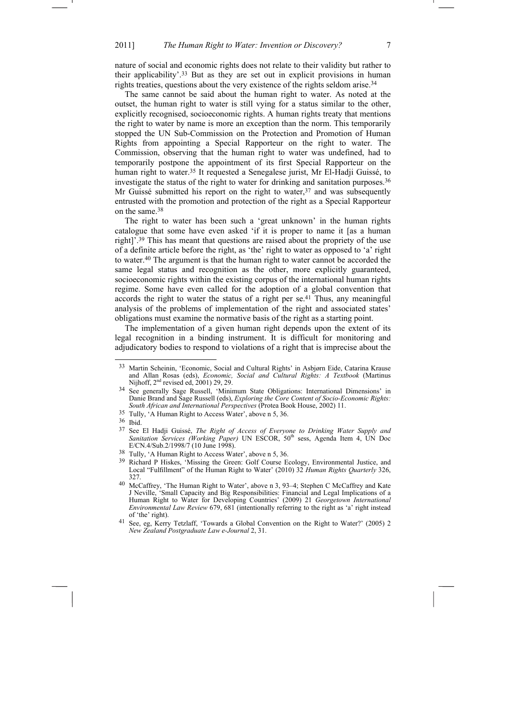nature of social and economic rights does not relate to their validity but rather to their applicability'.33 But as they are set out in explicit provisions in human rights treaties, questions about the very existence of the rights seldom arise.34

The same cannot be said about the human right to water. As noted at the outset, the human right to water is still vying for a status similar to the other, explicitly recognised, socioeconomic rights. A human rights treaty that mentions the right to water by name is more an exception than the norm. This temporarily stopped the UN Sub-Commission on the Protection and Promotion of Human Rights from appointing a Special Rapporteur on the right to water. The Commission, observing that the human right to water was undefined, had to temporarily postpone the appointment of its first Special Rapporteur on the human right to water.35 It requested a Senegalese jurist, Mr El-Hadji Guissé, to investigate the status of the right to water for drinking and sanitation purposes.36 Mr Guissé submitted his report on the right to water,  $37$  and was subsequently entrusted with the promotion and protection of the right as a Special Rapporteur on the same.38

The right to water has been such a 'great unknown' in the human rights catalogue that some have even asked 'if it is proper to name it [as a human right]'.39 This has meant that questions are raised about the propriety of the use of a definite article before the right, as 'the' right to water as opposed to 'a' right to water.40 The argument is that the human right to water cannot be accorded the same legal status and recognition as the other, more explicitly guaranteed, socioeconomic rights within the existing corpus of the international human rights regime. Some have even called for the adoption of a global convention that accords the right to water the status of a right per  $se^{41}$  Thus, any meaningful analysis of the problems of implementation of the right and associated states' obligations must examine the normative basis of the right as a starting point.

The implementation of a given human right depends upon the extent of its legal recognition in a binding instrument. It is difficult for monitoring and adjudicatory bodies to respond to violations of a right that is imprecise about the

<sup>33</sup> Martin Scheinin, 'Economic, Social and Cultural Rights' in Asbjørn Eide, Catarina Krause and Allan Rosas (eds), *Economic, Social and Cultural Rights: A Textbook* (Martinus Nijhoff,  $2<sup>nd</sup>$  revised ed, 2001) 29, 29.

<sup>34</sup> See generally Sage Russell, 'Minimum State Obligations: International Dimensions' in Danie Brand and Sage Russell (eds), *Exploring the Core Content of Socio-Economic Rights: South African and International Perspectives* (Protea Book House, 2002) 11.

<sup>35</sup> Tully, 'A Human Right to Access Water', above n 5, 36.

<sup>36</sup> Ibid.

<sup>37</sup> See El Hadji Guissé, *The Right of Access of Everyone to Drinking Water Supply and Sanitation Services (Working Paper)* UN ESCOR, 50th sess, Agenda Item 4, UN Doc E/CN.4/Sub.2/1998/7 (10 June 1998).

<sup>38</sup> Tully, 'A Human Right to Access Water', above n 5, 36.

<sup>&</sup>lt;sup>39</sup> Richard P Hiskes, 'Missing the Green: Golf Course Ecology, Environmental Justice, and Local "Fulfillment" of the Human Right to Water' (2010) 32 *Human Rights Quarterly* 326, 327.

<sup>40</sup> McCaffrey, 'The Human Right to Water', above n 3, 93–4; Stephen C McCaffrey and Kate J Neville, 'Small Capacity and Big Responsibilities: Financial and Legal Implications of a Human Right to Water for Developing Countries' (2009) 21 *Georgetown International Environmental Law Review* 679, 681 (intentionally referring to the right as 'a' right instead of 'the' right).

<sup>41</sup> See, eg, Kerry Tetzlaff, 'Towards a Global Convention on the Right to Water?' (2005) 2 *New Zealand Postgraduate Law e-Journal* 2, 31.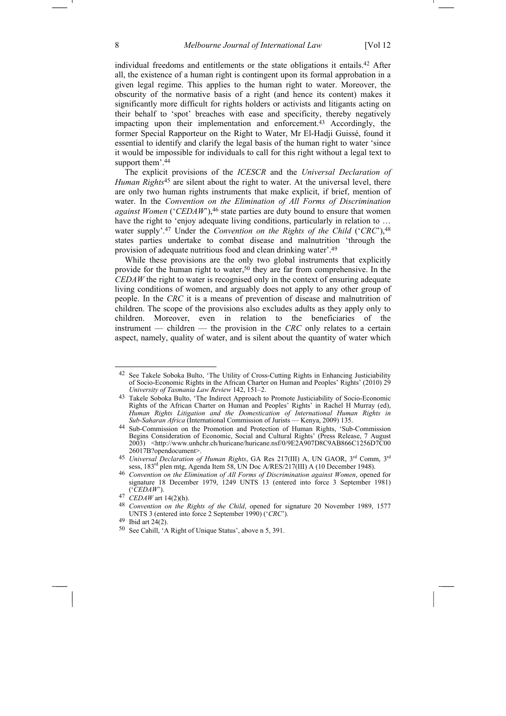individual freedoms and entitlements or the state obligations it entails.42 After all, the existence of a human right is contingent upon its formal approbation in a given legal regime. This applies to the human right to water. Moreover, the obscurity of the normative basis of a right (and hence its content) makes it significantly more difficult for rights holders or activists and litigants acting on their behalf to 'spot' breaches with ease and specificity, thereby negatively impacting upon their implementation and enforcement.43 Accordingly, the former Special Rapporteur on the Right to Water, Mr El-Hadji Guissé, found it essential to identify and clarify the legal basis of the human right to water 'since it would be impossible for individuals to call for this right without a legal text to support them'.<sup>44</sup>

The explicit provisions of the *ICESCR* and the *Universal Declaration of Human Rights*45 are silent about the right to water. At the universal level, there are only two human rights instruments that make explicit, if brief, mention of water. In the *Convention on the Elimination of All Forms of Discrimination against Women* ('*CEDAW*'),46 state parties are duty bound to ensure that women have the right to 'enjoy adequate living conditions, particularly in relation to ... water supply'.<sup>47</sup> Under the *Convention on the Rights of the Child* ('*CRC*'),<sup>48</sup> states parties undertake to combat disease and malnutrition 'through the provision of adequate nutritious food and clean drinking water'.49

While these provisions are the only two global instruments that explicitly provide for the human right to water,50 they are far from comprehensive. In the *CEDAW* the right to water is recognised only in the context of ensuring adequate living conditions of women, and arguably does not apply to any other group of people. In the *CRC* it is a means of prevention of disease and malnutrition of children. The scope of the provisions also excludes adults as they apply only to children. Moreover, even in relation to the beneficiaries of the instrument — children — the provision in the *CRC* only relates to a certain aspect, namely, quality of water, and is silent about the quantity of water which

<sup>42</sup> See Takele Soboka Bulto, 'The Utility of Cross-Cutting Rights in Enhancing Justiciability of Socio-Economic Rights in the African Charter on Human and Peoples' Rights' (2010) 29 *University of Tasmania Law Review* 142, 151–2.

<sup>43</sup> Takele Soboka Bulto, 'The Indirect Approach to Promote Justiciability of Socio-Economic Rights of the African Charter on Human and Peoples' Rights' in Rachel H Murray (ed), *Human Rights Litigation and the Domestication of International Human Rights in Sub-Saharan Africa* (International Commission of Jurists — Kenya, 2009) 135.

<sup>44</sup> Sub-Commission on the Promotion and Protection of Human Rights, 'Sub-Commission Begins Consideration of Economic, Social and Cultural Rights' (Press Release, 7 August 2003) <http://www.unhchr.ch/huricane/huricane.nsf/0/9E2A907D8C9AB866C1256D7C00 26017B?opendocument>.

<sup>45</sup> *Universal Declaration of Human Rights*, GA Res 217(III) A, UN GAOR, 3rd Comm, 3rd sess,  $183^{rd}$  plen mtg, Agenda Item 58, UN Doc A/RES/217(III) A (10 December 1948).

<sup>46</sup> *Convention on the Elimination of All Forms of Discrimination against Women*, opened for signature 18 December 1979, 1249 UNTS 13 (entered into force 3 September 1981) ('*CEDAW*').

<sup>47</sup> *CEDAW* art 14(2)(h).

<sup>48</sup> *Convention on the Rights of the Child*, opened for signature 20 November 1989, 1577 UNTS 3 (entered into force 2 September 1990) ('*CRC*').

<sup>49</sup> Ibid art 24(2).

<sup>50</sup> See Cahill, 'A Right of Unique Status', above n 5, 391.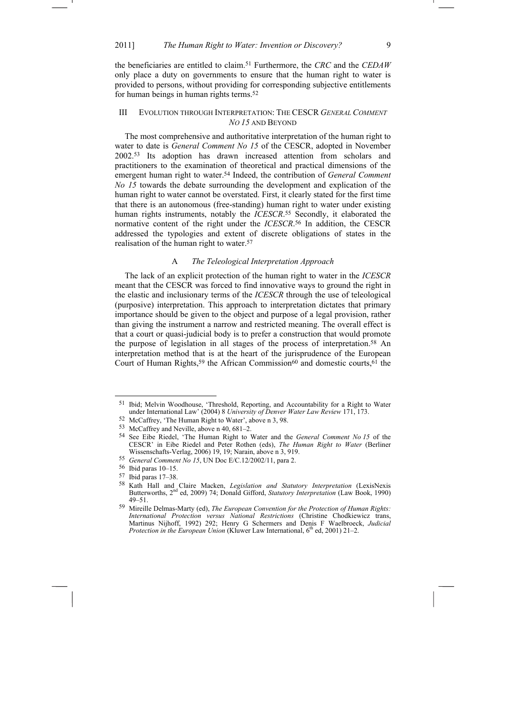the beneficiaries are entitled to claim.51 Furthermore, the *CRC* and the *CEDAW* only place a duty on governments to ensure that the human right to water is provided to persons, without providing for corresponding subjective entitlements for human beings in human rights terms.52

# III EVOLUTION THROUGH INTERPRETATION: THE CESCR *GENERAL COMMENT NO 15* AND BEYOND

The most comprehensive and authoritative interpretation of the human right to water to date is *General Comment No 15* of the CESCR, adopted in November 2002.53 Its adoption has drawn increased attention from scholars and practitioners to the examination of theoretical and practical dimensions of the emergent human right to water.54 Indeed, the contribution of *General Comment No 15* towards the debate surrounding the development and explication of the human right to water cannot be overstated. First, it clearly stated for the first time that there is an autonomous (free-standing) human right to water under existing human rights instruments, notably the *ICESCR*.<sup>55</sup> Secondly, it elaborated the normative content of the right under the *ICESCR*. 56 In addition, the CESCR addressed the typologies and extent of discrete obligations of states in the realisation of the human right to water.57

# A *The Teleological Interpretation Approach*

The lack of an explicit protection of the human right to water in the *ICESCR* meant that the CESCR was forced to find innovative ways to ground the right in the elastic and inclusionary terms of the *ICESCR* through the use of teleological (purposive) interpretation. This approach to interpretation dictates that primary importance should be given to the object and purpose of a legal provision, rather than giving the instrument a narrow and restricted meaning. The overall effect is that a court or quasi-judicial body is to prefer a construction that would promote the purpose of legislation in all stages of the process of interpretation.58 An interpretation method that is at the heart of the jurisprudence of the European Court of Human Rights,<sup>59</sup> the African Commission<sup>60</sup> and domestic courts,<sup>61</sup> the

<sup>51</sup> Ibid; Melvin Woodhouse, 'Threshold, Reporting, and Accountability for a Right to Water under International Law' (2004) 8 *University of Denver Water Law Review* 171, 173.

<sup>52</sup> McCaffrey, 'The Human Right to Water', above n 3, 98.

<sup>53</sup> McCaffrey and Neville, above n 40, 681–2.

<sup>54</sup> See Eibe Riedel, 'The Human Right to Water and the *General Comment No 15* of the CESCR' in Eibe Riedel and Peter Rothen (eds), *The Human Right to Water* (Berliner Wissenschafts-Verlag, 2006) 19, 19; Narain, above n 3, 919.

<sup>55</sup> *General Comment No 15*, UN Doc E/C.12/2002/11, para 2.

<sup>56</sup> Ibid paras 10–15.

<sup>57</sup> Ibid paras 17–38.

<sup>58</sup> Kath Hall and Claire Macken, *Legislation and Statutory Interpretation* (LexisNexis Butterworths, 2nd ed, 2009) 74; Donald Gifford, *Statutory Interpretation* (Law Book, 1990) 49–51.

<sup>59</sup> Mireille Delmas-Marty (ed), *The European Convention for the Protection of Human Rights: International Protection versus National Restrictions* (Christine Chodkiewicz trans, Martinus Nijhoff, 1992) 292; Henry G Schermers and Denis F Waelbroeck, *Judicial Protection in the European Union* (Kluwer Law International, 6<sup>th</sup> ed, 2001) 21-2.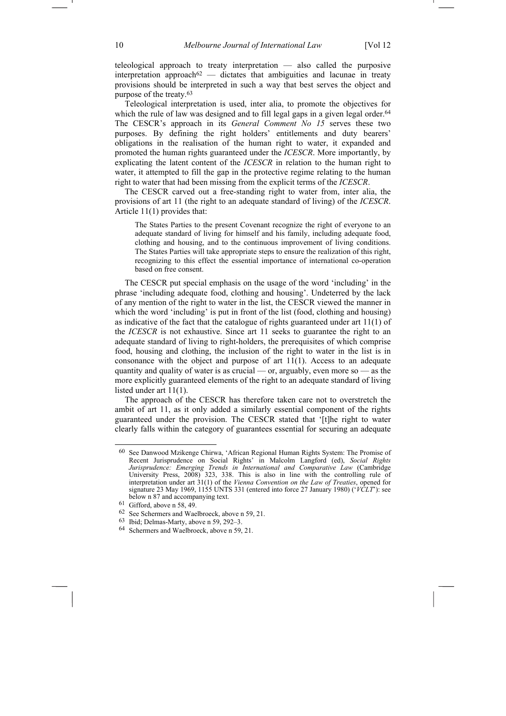teleological approach to treaty interpretation — also called the purposive interpretation approach<sup>62</sup> — dictates that ambiguities and lacunae in treaty provisions should be interpreted in such a way that best serves the object and purpose of the treaty.63

Teleological interpretation is used, inter alia, to promote the objectives for which the rule of law was designed and to fill legal gaps in a given legal order.<sup>64</sup> The CESCR's approach in its *General Comment No 15* serves these two purposes. By defining the right holders' entitlements and duty bearers' obligations in the realisation of the human right to water, it expanded and promoted the human rights guaranteed under the *ICESCR*. More importantly, by explicating the latent content of the *ICESCR* in relation to the human right to water, it attempted to fill the gap in the protective regime relating to the human right to water that had been missing from the explicit terms of the *ICESCR*.

The CESCR carved out a free-standing right to water from, inter alia, the provisions of art 11 (the right to an adequate standard of living) of the *ICESCR*. Article 11(1) provides that:

The States Parties to the present Covenant recognize the right of everyone to an adequate standard of living for himself and his family, including adequate food, clothing and housing, and to the continuous improvement of living conditions. The States Parties will take appropriate steps to ensure the realization of this right, recognizing to this effect the essential importance of international co-operation based on free consent.

The CESCR put special emphasis on the usage of the word 'including' in the phrase 'including adequate food, clothing and housing'. Undeterred by the lack of any mention of the right to water in the list, the CESCR viewed the manner in which the word 'including' is put in front of the list (food, clothing and housing) as indicative of the fact that the catalogue of rights guaranteed under art 11(1) of the *ICESCR* is not exhaustive. Since art 11 seeks to guarantee the right to an adequate standard of living to right-holders, the prerequisites of which comprise food, housing and clothing, the inclusion of the right to water in the list is in consonance with the object and purpose of art 11(1). Access to an adequate quantity and quality of water is as crucial — or, arguably, even more so — as the more explicitly guaranteed elements of the right to an adequate standard of living listed under art 11(1).

The approach of the CESCR has therefore taken care not to overstretch the ambit of art 11, as it only added a similarly essential component of the rights guaranteed under the provision. The CESCR stated that '[t]he right to water clearly falls within the category of guarantees essential for securing an adequate

<sup>60</sup> See Danwood Mzikenge Chirwa, 'African Regional Human Rights System: The Promise of Recent Jurisprudence on Social Rights' in Malcolm Langford (ed), *Social Rights Jurisprudence: Emerging Trends in International and Comparative Law* (Cambridge University Press, 2008) 323, 338. This is also in line with the controlling rule of interpretation under art 31(1) of the *Vienna Convention on the Law of Treaties*, opened for signature 23 May 1969, 1155 UNTS 331 (entered into force 27 January 1980) ('*VCLT*'): see below n 87 and accompanying text.

<sup>61</sup> Gifford, above n 58, 49.

<sup>62</sup> See Schermers and Waelbroeck, above n 59, 21.

 $63$  Ibid; Delmas-Marty, above n 59, 292–3.

<sup>64</sup> Schermers and Waelbroeck, above n 59, 21.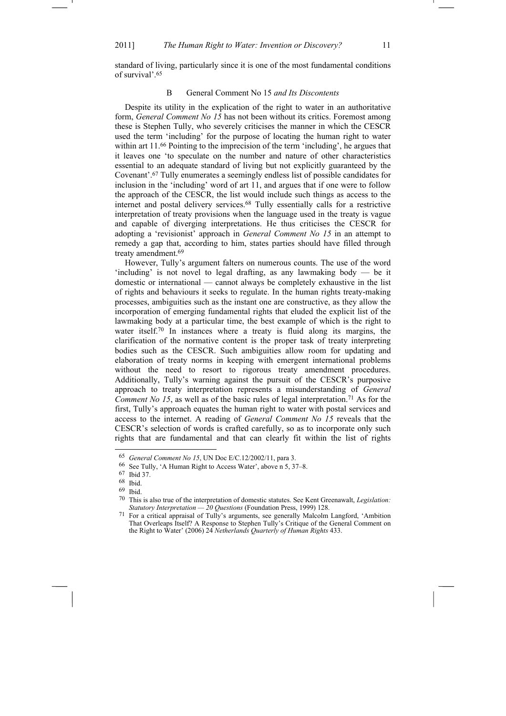standard of living, particularly since it is one of the most fundamental conditions of survival'.65

# B General Comment No 15 *and Its Discontents*

Despite its utility in the explication of the right to water in an authoritative form, *General Comment No 15* has not been without its critics. Foremost among these is Stephen Tully, who severely criticises the manner in which the CESCR used the term 'including' for the purpose of locating the human right to water within art 11.<sup>66</sup> Pointing to the imprecision of the term 'including', he argues that it leaves one 'to speculate on the number and nature of other characteristics essential to an adequate standard of living but not explicitly guaranteed by the Covenant'.67 Tully enumerates a seemingly endless list of possible candidates for inclusion in the 'including' word of art 11, and argues that if one were to follow the approach of the CESCR, the list would include such things as access to the internet and postal delivery services.68 Tully essentially calls for a restrictive interpretation of treaty provisions when the language used in the treaty is vague and capable of diverging interpretations. He thus criticises the CESCR for adopting a 'revisionist' approach in *General Comment No 15* in an attempt to remedy a gap that, according to him, states parties should have filled through treaty amendment.69

However, Tully's argument falters on numerous counts. The use of the word 'including' is not novel to legal drafting, as any lawmaking body — be it domestic or international — cannot always be completely exhaustive in the list of rights and behaviours it seeks to regulate. In the human rights treaty-making processes, ambiguities such as the instant one are constructive, as they allow the incorporation of emerging fundamental rights that eluded the explicit list of the lawmaking body at a particular time, the best example of which is the right to water itself.<sup>70</sup> In instances where a treaty is fluid along its margins, the clarification of the normative content is the proper task of treaty interpreting bodies such as the CESCR. Such ambiguities allow room for updating and elaboration of treaty norms in keeping with emergent international problems without the need to resort to rigorous treaty amendment procedures. Additionally, Tully's warning against the pursuit of the CESCR's purposive approach to treaty interpretation represents a misunderstanding of *General Comment No 15*, as well as of the basic rules of legal interpretation.<sup>71</sup> As for the first, Tully's approach equates the human right to water with postal services and access to the internet. A reading of *General Comment No 15* reveals that the CESCR's selection of words is crafted carefully, so as to incorporate only such rights that are fundamental and that can clearly fit within the list of rights

<sup>65</sup> *General Comment No 15*, UN Doc E/C.12/2002/11, para 3.

<sup>66</sup> See Tully, 'A Human Right to Access Water', above n 5, 37–8.

<sup>67</sup> Ibid 37.

<sup>68</sup> Ibid.

<sup>69</sup> Ibid.

<sup>70</sup> This is also true of the interpretation of domestic statutes. See Kent Greenawalt, *Legislation: Statutory Interpretation — 20 Questions* (Foundation Press, 1999) 128.

<sup>71</sup> For a critical appraisal of Tully's arguments, see generally Malcolm Langford, 'Ambition That Overleaps Itself? A Response to Stephen Tully's Critique of the General Comment on the Right to Water' (2006) 24 *Netherlands Quarterly of Human Rights* 433.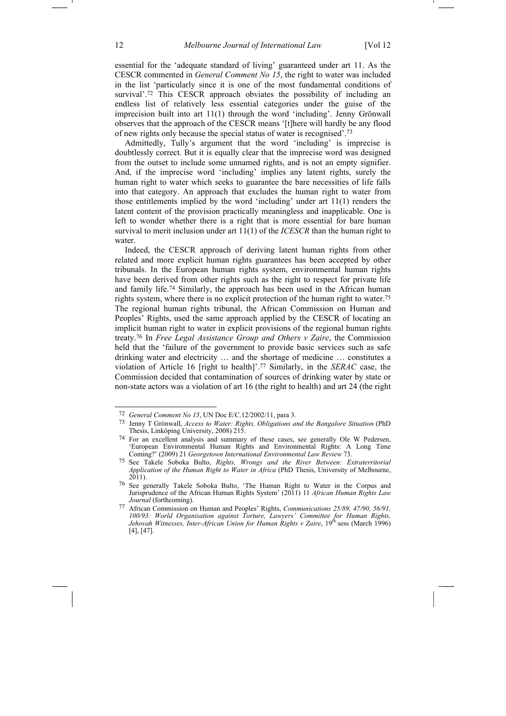essential for the 'adequate standard of living' guaranteed under art 11. As the CESCR commented in *General Comment No 15*, the right to water was included in the list 'particularly since it is one of the most fundamental conditions of survival'.<sup>72</sup> This CESCR approach obviates the possibility of including an endless list of relatively less essential categories under the guise of the imprecision built into art 11(1) through the word 'including'. Jenny Grönwall observes that the approach of the CESCR means '[t]here will hardly be any flood of new rights only because the special status of water is recognised'.73

Admittedly, Tully's argument that the word 'including' is imprecise is doubtlessly correct. But it is equally clear that the imprecise word was designed from the outset to include some unnamed rights, and is not an empty signifier. And, if the imprecise word 'including' implies any latent rights, surely the human right to water which seeks to guarantee the bare necessities of life falls into that category. An approach that excludes the human right to water from those entitlements implied by the word 'including' under art 11(1) renders the latent content of the provision practically meaningless and inapplicable. One is left to wonder whether there is a right that is more essential for bare human survival to merit inclusion under art 11(1) of the *ICESCR* than the human right to water.

Indeed, the CESCR approach of deriving latent human rights from other related and more explicit human rights guarantees has been accepted by other tribunals. In the European human rights system, environmental human rights have been derived from other rights such as the right to respect for private life and family life.74 Similarly, the approach has been used in the African human rights system, where there is no explicit protection of the human right to water.75 The regional human rights tribunal, the African Commission on Human and Peoples' Rights, used the same approach applied by the CESCR of locating an implicit human right to water in explicit provisions of the regional human rights treaty.76 In *Free Legal Assistance Group and Others v Zaire*, the Commission held that the 'failure of the government to provide basic services such as safe drinking water and electricity … and the shortage of medicine … constitutes a violation of Article 16 [right to health]'.77 Similarly, in the *SERAC* case, the Commission decided that contamination of sources of drinking water by state or non-state actors was a violation of art 16 (the right to health) and art 24 (the right

<sup>72</sup> *General Comment No 15*, UN Doc E/C.12/2002/11, para 3.

<sup>73</sup> Jenny T Grönwall, *Access to Water: Rights, Obligations and the Bangalore Situation* (PhD Thesis, Linköping University, 2008) 215.

<sup>74</sup> For an excellent analysis and summary of these cases, see generally Ole W Pedersen, 'European Environmental Human Rights and Environmental Rights: A Long Time Coming?' (2009) 21 *Georgetown International Environmental Law Review* 73.

<sup>75</sup> See Takele Soboka Bulto, *Rights, Wrongs and the River Between: Extraterritorial Application of the Human Right to Water in Africa* (PhD Thesis, University of Melbourne,  $2011$ ).

<sup>76</sup> See generally Takele Soboka Bulto, 'The Human Right to Water in the Corpus and Jurisprudence of the African Human Rights System' (2011) 11 *African Human Rights Law Journal* (forthcoming).

<sup>77</sup> African Commission on Human and Peoples' Rights, *Communications 25/89, 47/90, 56/91,*  100/93: World Organisation against Torture, Lawyers' Committee for Human Rights,<br>Jehovah Witnesses, Inter-African Union for Human Rights v Zaire, 19<sup>th</sup> sess (March 1996) [4], [47].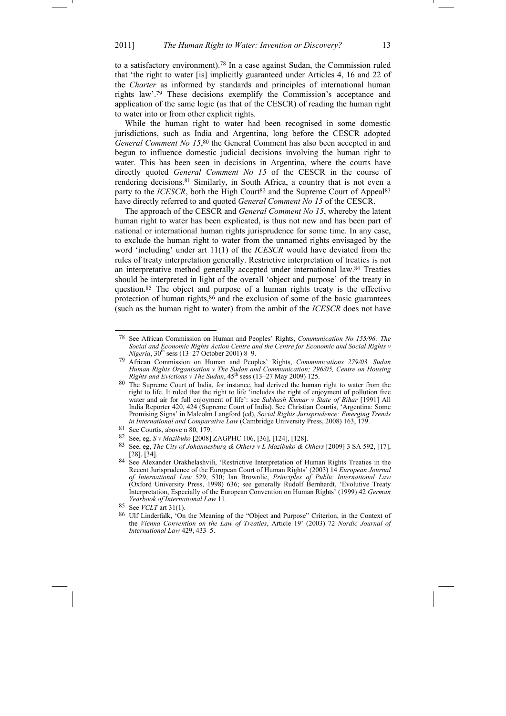to a satisfactory environment).78 In a case against Sudan, the Commission ruled that 'the right to water [is] implicitly guaranteed under Articles 4, 16 and 22 of the *Charter* as informed by standards and principles of international human rights law'.79 These decisions exemplify the Commission's acceptance and application of the same logic (as that of the CESCR) of reading the human right to water into or from other explicit rights.

While the human right to water had been recognised in some domestic jurisdictions, such as India and Argentina, long before the CESCR adopted General Comment No 15,<sup>80</sup> the General Comment has also been accepted in and begun to influence domestic judicial decisions involving the human right to water. This has been seen in decisions in Argentina, where the courts have directly quoted *General Comment No 15* of the CESCR in the course of rendering decisions.81 Similarly, in South Africa, a country that is not even a party to the *ICESCR*, both the High Court<sup>82</sup> and the Supreme Court of Appeal<sup>83</sup> have directly referred to and quoted *General Comment No 15* of the CESCR.

The approach of the CESCR and *General Comment No 15*, whereby the latent human right to water has been explicated, is thus not new and has been part of national or international human rights jurisprudence for some time. In any case, to exclude the human right to water from the unnamed rights envisaged by the word 'including' under art 11(1) of the *ICESCR* would have deviated from the rules of treaty interpretation generally. Restrictive interpretation of treaties is not an interpretative method generally accepted under international law.84 Treaties should be interpreted in light of the overall 'object and purpose' of the treaty in question.85 The object and purpose of a human rights treaty is the effective protection of human rights,<sup>86</sup> and the exclusion of some of the basic guarantees (such as the human right to water) from the ambit of the *ICESCR* does not have

<sup>78</sup> See African Commission on Human and Peoples' Rights, *Communication No 155/96: The Social and Economic Rights Action Centre and the Centre for Economic and Social Rights v Nigeria*, 30<sup>th</sup> sess (13–27 October 2001) 8–9.

<sup>79</sup> African Commission on Human and Peoples' Rights, *Communications 279/03, Sudan Human Rights Organisation v The Sudan and Communication; 296/05, Centre on Housing Rights and Evictions v The Sudan*, 45th sess (13–27 May 2009) 125.

<sup>80</sup> The Supreme Court of India, for instance, had derived the human right to water from the right to life. It ruled that the right to life 'includes the right of enjoyment of pollution free water and air for full enjoyment of life': see *Subhash Kumar v State of Bihar* [1991] All India Reporter 420, 424 (Supreme Court of India). See Christian Courtis, 'Argentina: Some Promising Signs' in Malcolm Langford (ed), *Social Rights Jurisprudence: Emerging Trends in International and Comparative Law* (Cambridge University Press, 2008) 163, 179.

<sup>81</sup> See Courtis, above n 80, 179.

<sup>82</sup> See, eg, *S v Mazibuko* [2008] ZAGPHC 106, [36], [124], [128].

<sup>83</sup> See, eg, *The City of Johannesburg & Others v L Mazibuko & Others* [2009] 3 SA 592, [17], [28], [34].

<sup>84</sup> See Alexander Orakhelashvili, 'Restrictive Interpretation of Human Rights Treaties in the Recent Jurisprudence of the European Court of Human Rights' (2003) 14 *European Journal of International Law* 529, 530; Ian Brownlie, *Principles of Public International Law* (Oxford University Press, 1998) 636; see generally Rudolf Bernhardt, 'Evolutive Treaty Interpretation, Especially of the European Convention on Human Rights' (1999) 42 *German Yearbook of International Law* 11.

<sup>85</sup> See *VCLT* art 31(1).

<sup>86</sup> Ulf Linderfalk, 'On the Meaning of the "Object and Purpose" Criterion, in the Context of the *Vienna Convention on the Law of Treaties*, Article 19' (2003) 72 *Nordic Journal of International Law* 429, 433–5.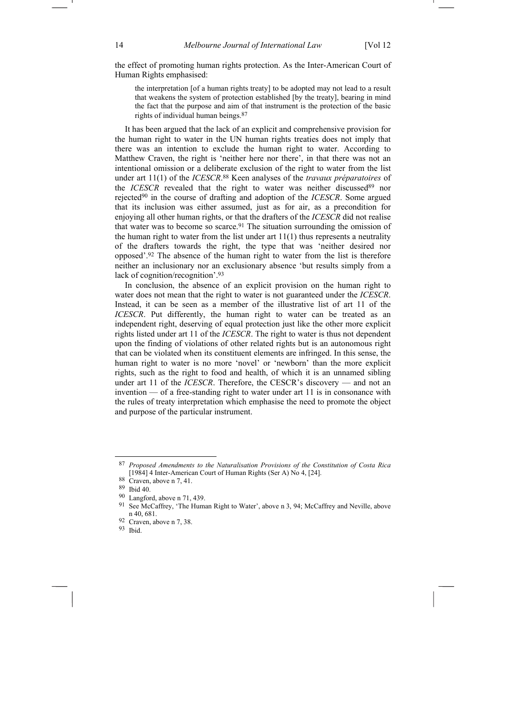the effect of promoting human rights protection. As the Inter-American Court of Human Rights emphasised:

the interpretation [of a human rights treaty] to be adopted may not lead to a result that weakens the system of protection established [by the treaty], bearing in mind the fact that the purpose and aim of that instrument is the protection of the basic rights of individual human beings.87

It has been argued that the lack of an explicit and comprehensive provision for the human right to water in the UN human rights treaties does not imply that there was an intention to exclude the human right to water. According to Matthew Craven, the right is 'neither here nor there', in that there was not an intentional omission or a deliberate exclusion of the right to water from the list under art 11(1) of the *ICESCR*. 88 Keen analyses of the *travaux préparatoires* of the *ICESCR* revealed that the right to water was neither discussed<sup>89</sup> nor rejected90 in the course of drafting and adoption of the *ICESCR*. Some argued that its inclusion was either assumed, just as for air, as a precondition for enjoying all other human rights, or that the drafters of the *ICESCR* did not realise that water was to become so scarce.<sup>91</sup> The situation surrounding the omission of the human right to water from the list under art  $11(1)$  thus represents a neutrality of the drafters towards the right, the type that was 'neither desired nor opposed'.92 The absence of the human right to water from the list is therefore neither an inclusionary nor an exclusionary absence 'but results simply from a lack of cognition/recognition'.93

In conclusion, the absence of an explicit provision on the human right to water does not mean that the right to water is not guaranteed under the *ICESCR*. Instead, it can be seen as a member of the illustrative list of art 11 of the *ICESCR*. Put differently, the human right to water can be treated as an independent right, deserving of equal protection just like the other more explicit rights listed under art 11 of the *ICESCR*. The right to water is thus not dependent upon the finding of violations of other related rights but is an autonomous right that can be violated when its constituent elements are infringed. In this sense, the human right to water is no more 'novel' or 'newborn' than the more explicit rights, such as the right to food and health, of which it is an unnamed sibling under art 11 of the *ICESCR*. Therefore, the CESCR's discovery — and not an invention — of a free-standing right to water under art 11 is in consonance with the rules of treaty interpretation which emphasise the need to promote the object and purpose of the particular instrument.

<sup>87</sup> *Proposed Amendments to the Naturalisation Provisions of the Constitution of Costa Rica* [1984] 4 Inter-American Court of Human Rights (Ser A) No 4, [24].

<sup>88</sup> Craven, above n 7, 41.

<sup>89</sup> Ibid 40.

<sup>90</sup> Langford, above n 71, 439.

<sup>91</sup> See McCaffrey, 'The Human Right to Water', above n 3, 94; McCaffrey and Neville, above n 40, 681.

<sup>92</sup> Craven, above n 7, 38.

<sup>93</sup> Ibid.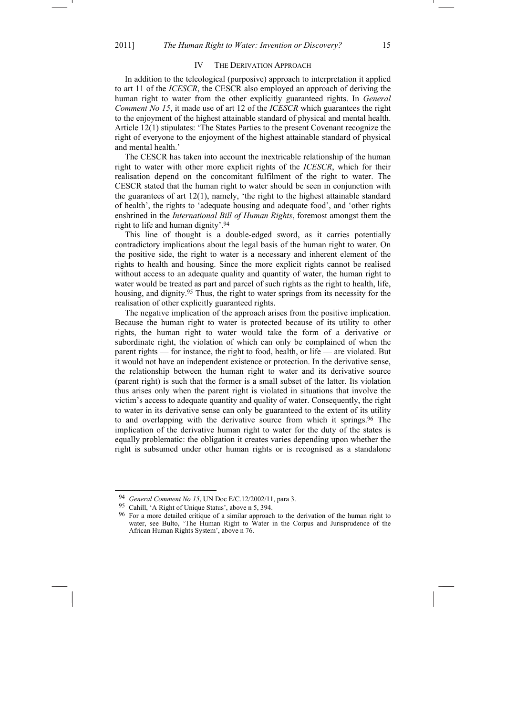#### IV THE DERIVATION APPROACH

In addition to the teleological (purposive) approach to interpretation it applied to art 11 of the *ICESCR*, the CESCR also employed an approach of deriving the human right to water from the other explicitly guaranteed rights. In *General Comment No 15*, it made use of art 12 of the *ICESCR* which guarantees the right to the enjoyment of the highest attainable standard of physical and mental health. Article 12(1) stipulates: 'The States Parties to the present Covenant recognize the right of everyone to the enjoyment of the highest attainable standard of physical and mental health<sup>'</sup>

The CESCR has taken into account the inextricable relationship of the human right to water with other more explicit rights of the *ICESCR*, which for their realisation depend on the concomitant fulfilment of the right to water. The CESCR stated that the human right to water should be seen in conjunction with the guarantees of art  $12(1)$ , namely, 'the right to the highest attainable standard of health', the rights to 'adequate housing and adequate food', and 'other rights enshrined in the *International Bill of Human Rights*, foremost amongst them the right to life and human dignity'.94

This line of thought is a double-edged sword, as it carries potentially contradictory implications about the legal basis of the human right to water. On the positive side, the right to water is a necessary and inherent element of the rights to health and housing. Since the more explicit rights cannot be realised without access to an adequate quality and quantity of water, the human right to water would be treated as part and parcel of such rights as the right to health, life, housing, and dignity.95 Thus, the right to water springs from its necessity for the realisation of other explicitly guaranteed rights.

The negative implication of the approach arises from the positive implication. Because the human right to water is protected because of its utility to other rights, the human right to water would take the form of a derivative or subordinate right, the violation of which can only be complained of when the parent rights — for instance, the right to food, health, or life — are violated. But it would not have an independent existence or protection. In the derivative sense, the relationship between the human right to water and its derivative source (parent right) is such that the former is a small subset of the latter. Its violation thus arises only when the parent right is violated in situations that involve the victim's access to adequate quantity and quality of water. Consequently, the right to water in its derivative sense can only be guaranteed to the extent of its utility to and overlapping with the derivative source from which it springs.96 The implication of the derivative human right to water for the duty of the states is equally problematic: the obligation it creates varies depending upon whether the right is subsumed under other human rights or is recognised as a standalone

<sup>94</sup> *General Comment No 15*, UN Doc E/C.12/2002/11, para 3.

<sup>95</sup> Cahill, 'A Right of Unique Status', above n 5, 394.

<sup>96</sup> For a more detailed critique of a similar approach to the derivation of the human right to water, see Bulto, 'The Human Right to Water in the Corpus and Jurisprudence of the African Human Rights System', above n 76.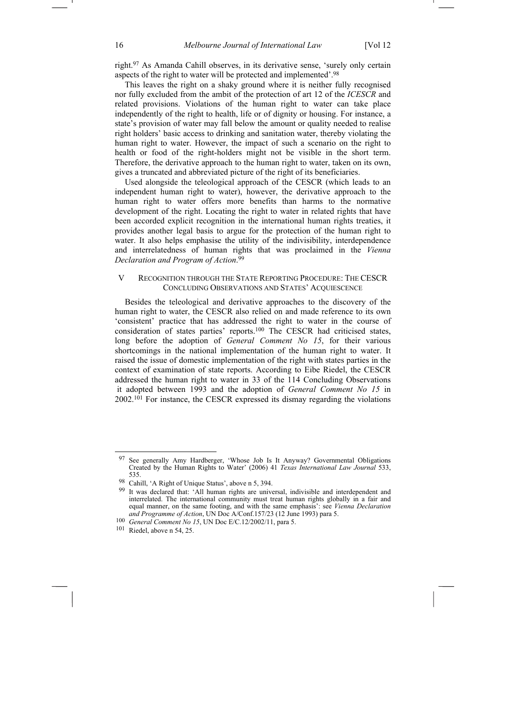right.97 As Amanda Cahill observes, in its derivative sense, 'surely only certain aspects of the right to water will be protected and implemented'.98

This leaves the right on a shaky ground where it is neither fully recognised nor fully excluded from the ambit of the protection of art 12 of the *ICESCR* and related provisions. Violations of the human right to water can take place independently of the right to health, life or of dignity or housing. For instance, a state's provision of water may fall below the amount or quality needed to realise right holders' basic access to drinking and sanitation water, thereby violating the human right to water. However, the impact of such a scenario on the right to health or food of the right-holders might not be visible in the short term. Therefore, the derivative approach to the human right to water, taken on its own, gives a truncated and abbreviated picture of the right of its beneficiaries.

Used alongside the teleological approach of the CESCR (which leads to an independent human right to water), however, the derivative approach to the human right to water offers more benefits than harms to the normative development of the right. Locating the right to water in related rights that have been accorded explicit recognition in the international human rights treaties, it provides another legal basis to argue for the protection of the human right to water. It also helps emphasise the utility of the indivisibility, interdependence and interrelatedness of human rights that was proclaimed in the *Vienna Declaration and Program of Action*. 99

# V RECOGNITION THROUGH THE STATE REPORTING PROCEDURE: THE CESCR CONCLUDING OBSERVATIONS AND STATES' ACQUIESCENCE

Besides the teleological and derivative approaches to the discovery of the human right to water, the CESCR also relied on and made reference to its own 'consistent' practice that has addressed the right to water in the course of consideration of states parties' reports.100 The CESCR had criticised states, long before the adoption of *General Comment No 15*, for their various shortcomings in the national implementation of the human right to water. It raised the issue of domestic implementation of the right with states parties in the context of examination of state reports. According to Eibe Riedel, the CESCR addressed the human right to water in 33 of the 114 Concluding Observations it adopted between 1993 and the adoption of *General Comment No 15* in 2002.101 For instance, the CESCR expressed its dismay regarding the violations

<sup>&</sup>lt;sup>97</sup> See generally Amy Hardberger, 'Whose Job Is It Anyway? Governmental Obligations Created by the Human Rights to Water' (2006) 41 *Texas International Law Journal* 533, 535.

<sup>98</sup> Cahill, 'A Right of Unique Status', above n 5, 394.

<sup>&</sup>lt;sup>99</sup> It was declared that: 'All human rights are universal, indivisible and interdependent and interrelated. The international community must treat human rights globally in a fair and equal manner, on the same footing, and with the same emphasis': see *Vienna Declaration and Programme of Action*, UN Doc A/Conf.157/23 (12 June 1993) para 5.

<sup>100</sup> *General Comment No 15*, UN Doc E/C.12/2002/11, para 5.

<sup>101</sup> Riedel, above n 54, 25.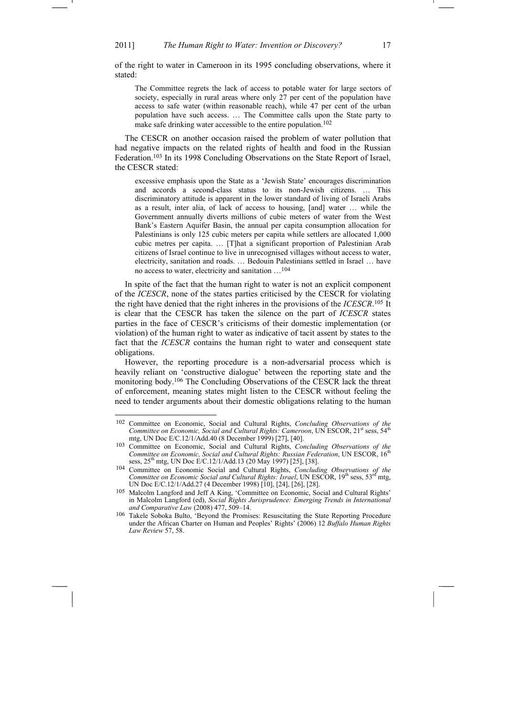of the right to water in Cameroon in its 1995 concluding observations, where it stated:

The Committee regrets the lack of access to potable water for large sectors of society, especially in rural areas where only 27 per cent of the population have access to safe water (within reasonable reach), while 47 per cent of the urban population have such access. … The Committee calls upon the State party to make safe drinking water accessible to the entire population.<sup>102</sup>

The CESCR on another occasion raised the problem of water pollution that had negative impacts on the related rights of health and food in the Russian Federation.<sup>103</sup> In its 1998 Concluding Observations on the State Report of Israel, the CESCR stated:

excessive emphasis upon the State as a 'Jewish State' encourages discrimination and accords a second-class status to its non-Jewish citizens. … This discriminatory attitude is apparent in the lower standard of living of Israeli Arabs as a result, inter alia, of lack of access to housing, [and] water … while the Government annually diverts millions of cubic meters of water from the West Bank's Eastern Aquifer Basin, the annual per capita consumption allocation for Palestinians is only 125 cubic meters per capita while settlers are allocated 1,000 cubic metres per capita. … [T]hat a significant proportion of Palestinian Arab citizens of Israel continue to live in unrecognised villages without access to water, electricity, sanitation and roads. … Bedouin Palestinians settled in Israel … have no access to water, electricity and sanitation …104

In spite of the fact that the human right to water is not an explicit component of the *ICESCR*, none of the states parties criticised by the CESCR for violating the right have denied that the right inheres in the provisions of the *ICESCR*. 105 It is clear that the CESCR has taken the silence on the part of *ICESCR* states parties in the face of CESCR's criticisms of their domestic implementation (or violation) of the human right to water as indicative of tacit assent by states to the fact that the *ICESCR* contains the human right to water and consequent state obligations.

However, the reporting procedure is a non-adversarial process which is heavily reliant on 'constructive dialogue' between the reporting state and the monitoring body.106 The Concluding Observations of the CESCR lack the threat of enforcement, meaning states might listen to the CESCR without feeling the need to tender arguments about their domestic obligations relating to the human

<sup>102</sup> Committee on Economic, Social and Cultural Rights, *Concluding Observations of the Committee on Economic, Social and Cultural Rights: Cameroon, UN ESCOR, 21<sup>st</sup> sess, 54<sup>th</sup>* mtg, UN Doc E/C.12/1/Add.40 (8 December 1999) [27], [40].

<sup>103</sup> Committee on Economic, Social and Cultural Rights, *Concluding Observations of the* **CON** 16<sup>th</sup> *Committee on Economic, Social and Cultural Rights: Russian Federation*, UN ESCOR, 16<sup>th</sup> sess, 25<sup>th</sup> mtg, UN Doc E/C.12/1/Add.13 (20 May 1997) [25], [38].

<sup>104</sup> Committee on Economic Social and Cultural Rights, *Concluding Observations of the Committee on Economic Social and Cultural Rights: Israel, UN ESCOR, 19*<sup>th</sup> sess, 53<sup>rd</sup> mtg, UN Doc E/C.12/1/Add.27 (4 December 1998) [10], [24], [26], [28].

<sup>105</sup> Malcolm Langford and Jeff A King, 'Committee on Economic, Social and Cultural Rights' in Malcolm Langford (ed), *Social Rights Jurisprudence: Emerging Trends in International and Comparative Law* (2008) 477, 509–14.

<sup>106</sup> Takele Soboka Bulto, 'Beyond the Promises: Resuscitating the State Reporting Procedure under the African Charter on Human and Peoples' Rights' (2006) 12 *Buffalo Human Rights Law Review* 57, 58.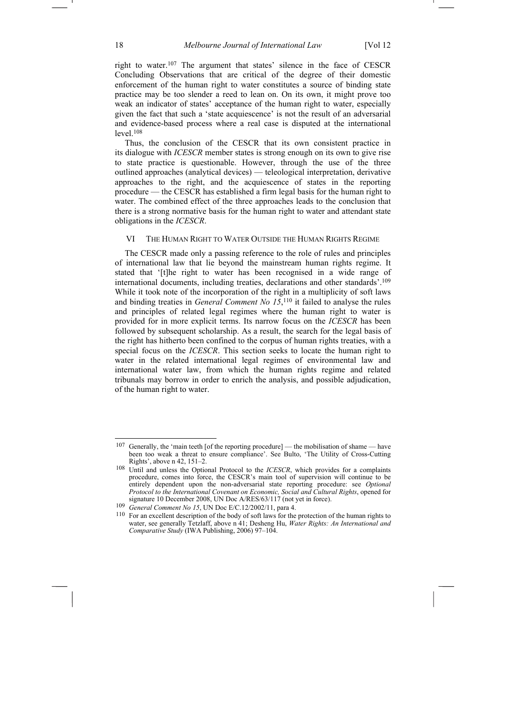right to water.107 The argument that states' silence in the face of CESCR Concluding Observations that are critical of the degree of their domestic enforcement of the human right to water constitutes a source of binding state practice may be too slender a reed to lean on. On its own, it might prove too weak an indicator of states' acceptance of the human right to water, especially given the fact that such a 'state acquiescence' is not the result of an adversarial and evidence-based process where a real case is disputed at the international level.108

Thus, the conclusion of the CESCR that its own consistent practice in its dialogue with *ICESCR* member states is strong enough on its own to give rise to state practice is questionable. However, through the use of the three outlined approaches (analytical devices) — teleological interpretation, derivative approaches to the right, and the acquiescence of states in the reporting procedure — the CESCR has established a firm legal basis for the human right to water. The combined effect of the three approaches leads to the conclusion that there is a strong normative basis for the human right to water and attendant state obligations in the *ICESCR*.

### VI THE HUMAN RIGHT TO WATER OUTSIDE THE HUMAN RIGHTS REGIME

The CESCR made only a passing reference to the role of rules and principles of international law that lie beyond the mainstream human rights regime. It stated that '[t]he right to water has been recognised in a wide range of international documents, including treaties, declarations and other standards'.109 While it took note of the incorporation of the right in a multiplicity of soft laws and binding treaties in *General Comment No 15*,110 it failed to analyse the rules and principles of related legal regimes where the human right to water is provided for in more explicit terms. Its narrow focus on the *ICESCR* has been followed by subsequent scholarship. As a result, the search for the legal basis of the right has hitherto been confined to the corpus of human rights treaties, with a special focus on the *ICESCR*. This section seeks to locate the human right to water in the related international legal regimes of environmental law and international water law, from which the human rights regime and related tribunals may borrow in order to enrich the analysis, and possible adjudication, of the human right to water.

 $107$  Generally, the 'main teeth [of the reporting procedure] — the mobilisation of shame — have been too weak a threat to ensure compliance'. See Bulto, 'The Utility of Cross-Cutting Rights', above n 42, 151–2.

<sup>108</sup> Until and unless the Optional Protocol to the *ICESCR*, which provides for a complaints procedure, comes into force, the CESCR's main tool of supervision will continue to be entirely dependent upon the non-adversarial state reporting procedure: see *Optional Protocol to the International Covenant on Economic, Social and Cultural Rights*, opened for signature 10 December 2008, UN Doc A/RES/63/117 (not yet in force).

<sup>109</sup> *General Comment No 15*, UN Doc E/C.12/2002/11, para 4.

<sup>110</sup> For an excellent description of the body of soft laws for the protection of the human rights to water, see generally Tetzlaff, above n 41; Desheng Hu, *Water Rights: An International and Comparative Study* (IWA Publishing, 2006) 97–104.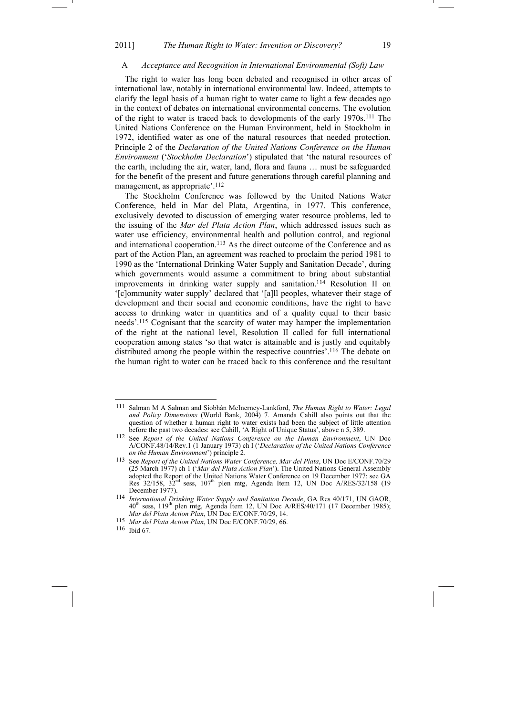#### A *Acceptance and Recognition in International Environmental (Soft) Law*

The right to water has long been debated and recognised in other areas of international law, notably in international environmental law. Indeed, attempts to clarify the legal basis of a human right to water came to light a few decades ago in the context of debates on international environmental concerns. The evolution of the right to water is traced back to developments of the early 1970s.111 The United Nations Conference on the Human Environment, held in Stockholm in 1972, identified water as one of the natural resources that needed protection. Principle 2 of the *Declaration of the United Nations Conference on the Human Environment* ('*Stockholm Declaration*') stipulated that 'the natural resources of the earth, including the air, water, land, flora and fauna … must be safeguarded for the benefit of the present and future generations through careful planning and management, as appropriate'.<sup>112</sup>

The Stockholm Conference was followed by the United Nations Water Conference, held in Mar del Plata, Argentina, in 1977. This conference, exclusively devoted to discussion of emerging water resource problems, led to the issuing of the *Mar del Plata Action Plan*, which addressed issues such as water use efficiency, environmental health and pollution control, and regional and international cooperation.113 As the direct outcome of the Conference and as part of the Action Plan, an agreement was reached to proclaim the period 1981 to 1990 as the 'International Drinking Water Supply and Sanitation Decade', during which governments would assume a commitment to bring about substantial improvements in drinking water supply and sanitation.114 Resolution II on '[c]ommunity water supply' declared that '[a]ll peoples, whatever their stage of development and their social and economic conditions, have the right to have access to drinking water in quantities and of a quality equal to their basic needs'.115 Cognisant that the scarcity of water may hamper the implementation of the right at the national level, Resolution II called for full international cooperation among states 'so that water is attainable and is justly and equitably distributed among the people within the respective countries'.116 The debate on the human right to water can be traced back to this conference and the resultant

<sup>111</sup> Salman M A Salman and Siobhán McInerney-Lankford, *The Human Right to Water: Legal and Policy Dimensions* (World Bank, 2004) 7. Amanda Cahill also points out that the question of whether a human right to water exists had been the subject of little attention before the past two decades: see Cahill, 'A Right of Unique Status', above n 5, 389.

<sup>112</sup> See *Report of the United Nations Conference on the Human Environment*, UN Doc A/CONF.48/14/Rev.1 (1 January 1973) ch I ('*Declaration of the United Nations Conference on the Human Environment*') principle 2.

<sup>113</sup> See *Report of the United Nations Water Conference, Mar del Plata*, UN Doc E/CONF.70/29 (25 March 1977) ch 1 ('*Mar del Plata Action Plan*'). The United Nations General Assembly adopted the Report of the United Nations Water Conference on 19 December 1977: see GA Res 32/158, 32<sup>nd</sup> sess, 107<sup>th</sup> plen mtg, Agenda Item 12, UN Doc A/RES/32/158 (19 December 1977).

<sup>114</sup> *International Drinking Water Supply and Sanitation Decade*, GA Res 40/171, UN GAOR,  $40^{\text{th}}$  sess,  $119^{\text{th}}$  plen mtg, Agenda Item 12, UN Doc A/RES/40/171 (17 December 1985); *Mar del Plata Action Plan*, UN Doc E/CONF.70/29, 14.

<sup>115</sup> *Mar del Plata Action Plan*, UN Doc E/CONF.70/29, 66.

<sup>116</sup> Ibid 67.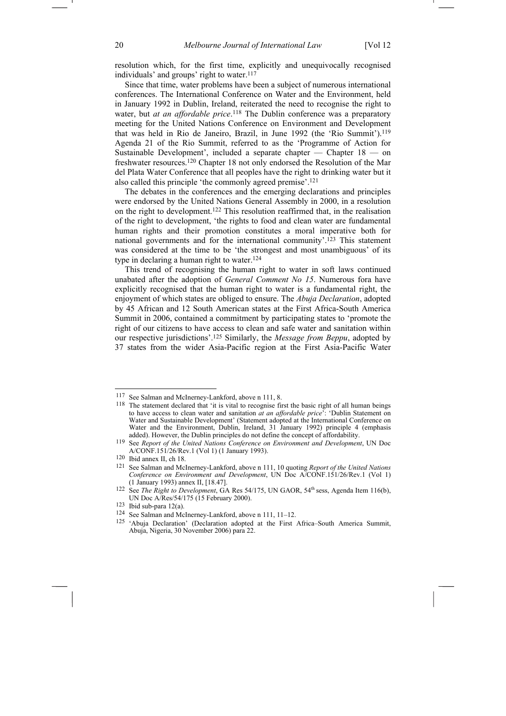resolution which, for the first time, explicitly and unequivocally recognised individuals' and groups' right to water.<sup>117</sup>

Since that time, water problems have been a subject of numerous international conferences. The International Conference on Water and the Environment, held in January 1992 in Dublin, Ireland, reiterated the need to recognise the right to water, but *at an affordable price*.<sup>118</sup> The Dublin conference was a preparatory meeting for the United Nations Conference on Environment and Development that was held in Rio de Janeiro, Brazil, in June 1992 (the 'Rio Summit').119 Agenda 21 of the Rio Summit, referred to as the 'Programme of Action for Sustainable Development', included a separate chapter — Chapter 18 — on freshwater resources.120 Chapter 18 not only endorsed the Resolution of the Mar del Plata Water Conference that all peoples have the right to drinking water but it also called this principle 'the commonly agreed premise'.121

The debates in the conferences and the emerging declarations and principles were endorsed by the United Nations General Assembly in 2000, in a resolution on the right to development.122 This resolution reaffirmed that, in the realisation of the right to development, 'the rights to food and clean water are fundamental human rights and their promotion constitutes a moral imperative both for national governments and for the international community'.123 This statement was considered at the time to be 'the strongest and most unambiguous' of its type in declaring a human right to water.124

This trend of recognising the human right to water in soft laws continued unabated after the adoption of *General Comment No 15*. Numerous fora have explicitly recognised that the human right to water is a fundamental right, the enjoyment of which states are obliged to ensure. The *Abuja Declaration*, adopted by 45 African and 12 South American states at the First Africa-South America Summit in 2006, contained a commitment by participating states to 'promote the right of our citizens to have access to clean and safe water and sanitation within our respective jurisdictions'.125 Similarly, the *Message from Beppu*, adopted by 37 states from the wider Asia-Pacific region at the First Asia-Pacific Water

<sup>117</sup> See Salman and McInerney-Lankford, above n 111, 8.

<sup>118</sup> The statement declared that 'it is vital to recognise first the basic right of all human beings to have access to clean water and sanitation *at an affordable price*': 'Dublin Statement on Water and Sustainable Development' (Statement adopted at the International Conference on Water and the Environment, Dublin, Ireland, 31 January 1992) principle 4 (emphasis added). However, the Dublin principles do not define the concept of affordability.

<sup>119</sup> See *Report of the United Nations Conference on Environment and Development*, UN Doc A/CONF.151/26/Rev.1 (Vol 1) (1 January 1993).

<sup>120</sup> Ibid annex II, ch 18.

<sup>121</sup> See Salman and McInerney-Lankford, above n 111, 10 quoting *Report of the United Nations Conference on Environment and Development*, UN Doc A/CONF.151/26/Rev.1 (Vol 1) (1 January 1993) annex II, [18.47].

<sup>&</sup>lt;sup>122</sup> See *The Right to Development*, GA Res 54/175, UN GAOR, 54<sup>th</sup> sess, Agenda Item 116(b), UN Doc A/Res/54/175 (15 February 2000).

<sup>123</sup> Ibid sub-para 12(a).

<sup>124</sup> See Salman and McInerney-Lankford, above n 111, 11–12.

<sup>125 &#</sup>x27;Abuja Declaration' (Declaration adopted at the First Africa–South America Summit, Abuja, Nigeria, 30 November 2006) para 22.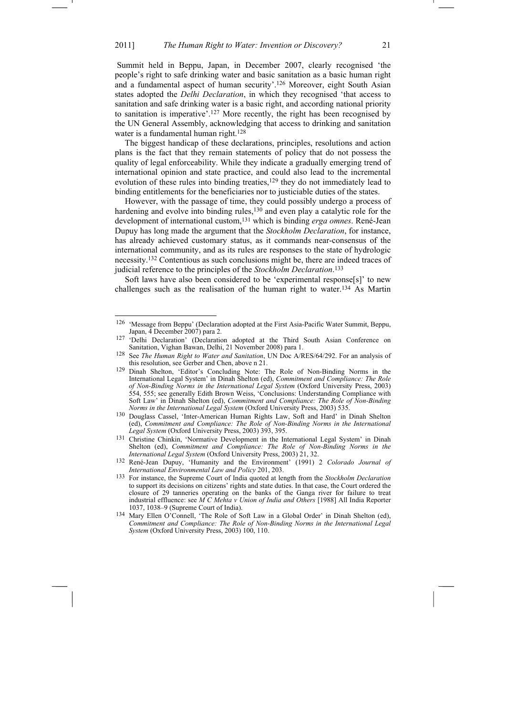Summit held in Beppu, Japan, in December 2007, clearly recognised 'the people's right to safe drinking water and basic sanitation as a basic human right and a fundamental aspect of human security'.126 Moreover, eight South Asian states adopted the *Delhi Declaration*, in which they recognised 'that access to sanitation and safe drinking water is a basic right, and according national priority to sanitation is imperative'.127 More recently, the right has been recognised by the UN General Assembly, acknowledging that access to drinking and sanitation water is a fundamental human right.<sup>128</sup>

The biggest handicap of these declarations, principles, resolutions and action plans is the fact that they remain statements of policy that do not possess the quality of legal enforceability. While they indicate a gradually emerging trend of international opinion and state practice, and could also lead to the incremental evolution of these rules into binding treaties,<sup>129</sup> they do not immediately lead to binding entitlements for the beneficiaries nor to justiciable duties of the states.

However, with the passage of time, they could possibly undergo a process of hardening and evolve into binding rules,<sup>130</sup> and even play a catalytic role for the development of international custom,131 which is binding *erga omnes*. René-Jean Dupuy has long made the argument that the *Stockholm Declaration*, for instance, has already achieved customary status, as it commands near-consensus of the international community, and as its rules are responses to the state of hydrologic necessity.132 Contentious as such conclusions might be, there are indeed traces of judicial reference to the principles of the *Stockholm Declaration*. 133

Soft laws have also been considered to be 'experimental response<sup>[s]</sup>' to new challenges such as the realisation of the human right to water.<sup>134</sup> As Martin

<sup>126 &#</sup>x27;Message from Beppu' (Declaration adopted at the First Asia-Pacific Water Summit, Beppu, Japan, 4 December 2007) para 2.

<sup>127 &#</sup>x27;Delhi Declaration' (Declaration adopted at the Third South Asian Conference on Sanitation, Vighan Bawan, Delhi, 21 November 2008) para 1.

<sup>128</sup> See *The Human Right to Water and Sanitation*, UN Doc A/RES/64/292. For an analysis of this resolution, see Gerber and Chen, above n 21.

<sup>129</sup> Dinah Shelton, 'Editor's Concluding Note: The Role of Non-Binding Norms in the International Legal System' in Dinah Shelton (ed), *Commitment and Compliance: The Role of Non-Binding Norms in the International Legal System* (Oxford University Press, 2003) 554, 555; see generally Edith Brown Weiss, 'Conclusions: Understanding Compliance with Soft Law' in Dinah Shelton (ed), *Commitment and Compliance: The Role of Non-Binding Norms in the International Legal System* (Oxford University Press, 2003) 535.

<sup>130</sup> Douglass Cassel, 'Inter-American Human Rights Law, Soft and Hard' in Dinah Shelton (ed), *Commitment and Compliance: The Role of Non-Binding Norms in the International Legal System* (Oxford University Press, 2003) 393, 395.

<sup>131</sup> Christine Chinkin, 'Normative Development in the International Legal System' in Dinah Shelton (ed), *Commitment and Compliance: The Role of Non-Binding Norms in the International Legal System* (Oxford University Press, 2003) 21, 32.

<sup>132</sup> René-Jean Dupuy, 'Humanity and the Environment' (1991) 2 *Colorado Journal of International Environmental Law and Policy* 201, 203.

<sup>133</sup> For instance, the Supreme Court of India quoted at length from the *Stockholm Declaration* to support its decisions on citizens' rights and state duties. In that case, the Court ordered the closure of 29 tanneries operating on the banks of the Ganga river for failure to treat industrial effluence: see *M C Mehta v Union of India and Others* [1988] All India Reporter 1037, 1038–9 (Supreme Court of India).

<sup>134</sup> Mary Ellen O'Connell, 'The Role of Soft Law in a Global Order' in Dinah Shelton (ed), *Commitment and Compliance: The Role of Non-Binding Norms in the International Legal System* (Oxford University Press, 2003) 100, 110.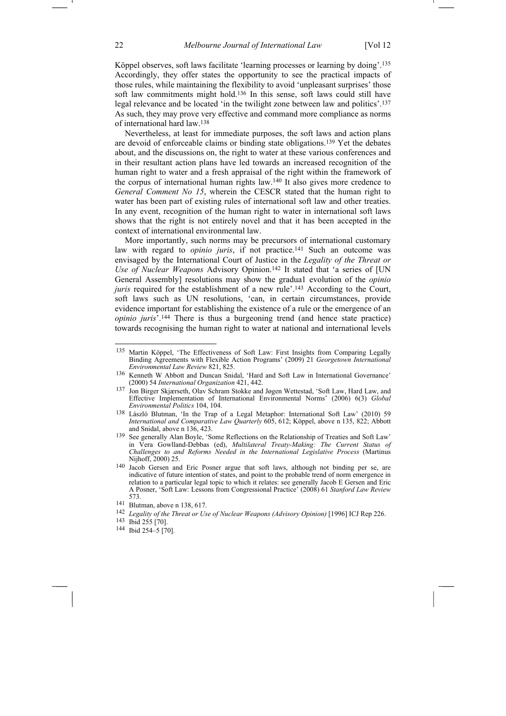Köppel observes, soft laws facilitate 'learning processes or learning by doing'.135 Accordingly, they offer states the opportunity to see the practical impacts of those rules, while maintaining the flexibility to avoid 'unpleasant surprises' those soft law commitments might hold.<sup>136</sup> In this sense, soft laws could still have legal relevance and be located 'in the twilight zone between law and politics'.137 As such, they may prove very effective and command more compliance as norms of international hard law.138

Nevertheless, at least for immediate purposes, the soft laws and action plans are devoid of enforceable claims or binding state obligations.139 Yet the debates about, and the discussions on, the right to water at these various conferences and in their resultant action plans have led towards an increased recognition of the human right to water and a fresh appraisal of the right within the framework of the corpus of international human rights law.140 It also gives more credence to *General Comment No 15*, wherein the CESCR stated that the human right to water has been part of existing rules of international soft law and other treaties. In any event, recognition of the human right to water in international soft laws shows that the right is not entirely novel and that it has been accepted in the context of international environmental law.

More importantly, such norms may be precursors of international customary law with regard to *opinio juris*, if not practice.<sup>141</sup> Such an outcome was envisaged by the International Court of Justice in the *Legality of the Threat or Use of Nuclear Weapons* Advisory Opinion.142 It stated that 'a series of [UN General Assembly] resolutions may show the gradua1 evolution of the *opinio juris* required for the establishment of a new rule<sup>', 143</sup> According to the Court, soft laws such as UN resolutions, 'can, in certain circumstances, provide evidence important for establishing the existence of a rule or the emergence of an *opinio juris*'.144 There is thus a burgeoning trend (and hence state practice) towards recognising the human right to water at national and international levels

<sup>135</sup> Martin Köppel, 'The Effectiveness of Soft Law: First Insights from Comparing Legally Binding Agreements with Flexible Action Programs' (2009) 21 *Georgetown International Environmental Law Review* 821, 825.

<sup>136</sup> Kenneth W Abbott and Duncan Snidal, 'Hard and Soft Law in International Governance' (2000) 54 *International Organization* 421, 442.

<sup>137</sup> Jon Birger Skjærseth, Olav Schram Stokke and Jøgen Wettestad, 'Soft Law, Hard Law, and Effective Implementation of International Environmental Norms' (2006) 6(3) *Global Environmental Politics* 104, 104.

<sup>138</sup> László Blutman, 'In the Trap of a Legal Metaphor: International Soft Law' (2010) 59 *International and Comparative Law Quarterly* 605, 612; Köppel, above n 135, 822; Abbott and Snidal, above n 136, 423.

<sup>139</sup> See generally Alan Boyle, 'Some Reflections on the Relationship of Treaties and Soft Law' in Vera Gowlland-Debbas (ed), *Multilateral Treaty-Making: The Current Status of Challenges to and Reforms Needed in the International Legislative Process* (Martinus Nijhoff, 2000) 25.

<sup>140</sup> Jacob Gersen and Eric Posner argue that soft laws, although not binding per se, are indicative of future intention of states, and point to the probable trend of norm emergence in relation to a particular legal topic to which it relates: see generally Jacob E Gersen and Eric A Posner, 'Soft Law: Lessons from Congressional Practice' (2008) 61 *Stanford Law Review* 573.

<sup>141</sup> Blutman, above n 138, 617.

<sup>142</sup> *Legality of the Threat or Use of Nuclear Weapons (Advisory Opinion)* [1996] ICJ Rep 226.

<sup>143</sup> Ibid 255 [70].

<sup>144</sup> Ibid 254–5 [70].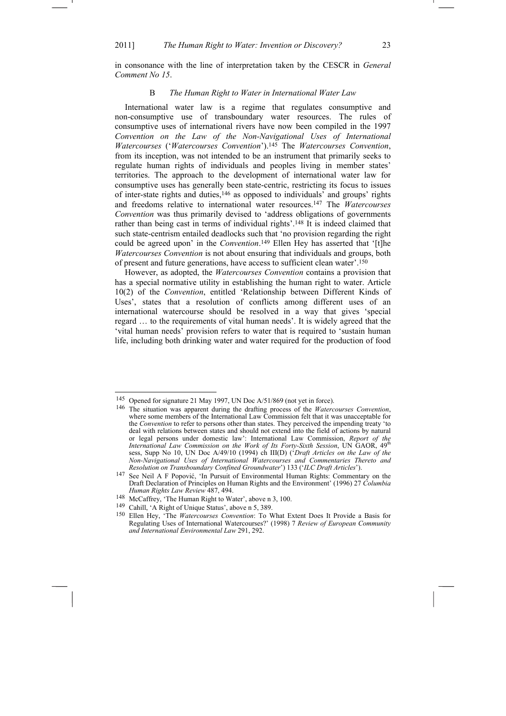1

in consonance with the line of interpretation taken by the CESCR in *General Comment No 15*.

# B *The Human Right to Water in International Water Law*

International water law is a regime that regulates consumptive and non-consumptive use of transboundary water resources. The rules of consumptive uses of international rivers have now been compiled in the 1997 *Convention on the Law of the Non-Navigational Uses of International Watercourses* ('*Watercourses Convention*').145 The *Watercourses Convention*, from its inception, was not intended to be an instrument that primarily seeks to regulate human rights of individuals and peoples living in member states' territories. The approach to the development of international water law for consumptive uses has generally been state-centric, restricting its focus to issues of inter-state rights and duties,146 as opposed to individuals' and groups' rights and freedoms relative to international water resources.147 The *Watercourses Convention* was thus primarily devised to 'address obligations of governments rather than being cast in terms of individual rights'.<sup>148</sup> It is indeed claimed that such state-centrism entailed deadlocks such that 'no provision regarding the right could be agreed upon' in the *Convention*. 149 Ellen Hey has asserted that '[t]he *Watercourses Convention* is not about ensuring that individuals and groups, both of present and future generations, have access to sufficient clean water'.150

However, as adopted, the *Watercourses Convention* contains a provision that has a special normative utility in establishing the human right to water. Article 10(2) of the *Convention*, entitled 'Relationship between Different Kinds of Uses', states that a resolution of conflicts among different uses of an international watercourse should be resolved in a way that gives 'special regard … to the requirements of vital human needs'. It is widely agreed that the 'vital human needs' provision refers to water that is required to 'sustain human life, including both drinking water and water required for the production of food

<sup>145</sup> Opened for signature 21 May 1997, UN Doc A/51/869 (not yet in force).

<sup>146</sup> The situation was apparent during the drafting process of the *Watercourses Convention*, where some members of the International Law Commission felt that it was unacceptable for the *Convention* to refer to persons other than states. They perceived the impending treaty 'to deal with relations between states and should not extend into the field of actions by natural or legal persons under domestic law': International Law Commission, *Report of the International Law Commission on the Work of Its Forty-Sixth Session*, UN GAOR, 49<sup>th</sup> sess, Supp No 10, UN Doc A/49/10 (1994) ch III(D) ('*Draft Articles on the Law of the Non-Navigational Uses of International Watercourses and Commentaries Thereto and Resolution on Transboundary Confined Groundwater*') 133 ('*ILC Draft Articles*').

<sup>147</sup> See Neil A F Popović, 'In Pursuit of Environmental Human Rights: Commentary on the Draft Declaration of Principles on Human Rights and the Environment' (1996) 27 *Columbia Human Rights Law Review* 487, 494.

<sup>148</sup> McCaffrey, 'The Human Right to Water', above n 3, 100.

<sup>149</sup> Cahill, 'A Right of Unique Status', above n 5, 389.

<sup>150</sup> Ellen Hey, 'The *Watercourses Convention*: To What Extent Does It Provide a Basis for Regulating Uses of International Watercourses?' (1998) 7 *Review of European Community and International Environmental Law* 291, 292.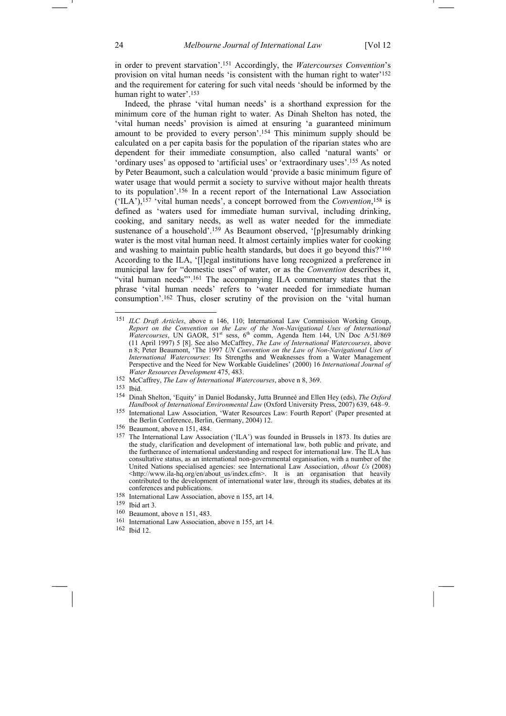in order to prevent starvation'.151 Accordingly, the *Watercourses Convention*'s provision on vital human needs 'is consistent with the human right to water'152 and the requirement for catering for such vital needs 'should be informed by the human right to water'.153

Indeed, the phrase 'vital human needs' is a shorthand expression for the minimum core of the human right to water. As Dinah Shelton has noted, the 'vital human needs' provision is aimed at ensuring 'a guaranteed minimum amount to be provided to every person'.154 This minimum supply should be calculated on a per capita basis for the population of the riparian states who are dependent for their immediate consumption, also called 'natural wants' or 'ordinary uses' as opposed to 'artificial uses' or 'extraordinary uses'.155 As noted by Peter Beaumont, such a calculation would 'provide a basic minimum figure of water usage that would permit a society to survive without major health threats to its population'.156 In a recent report of the International Law Association ('ILA'),157 'vital human needs', a concept borrowed from the *Convention*,158 is defined as 'waters used for immediate human survival, including drinking, cooking, and sanitary needs, as well as water needed for the immediate sustenance of a household'.<sup>159</sup> As Beaumont observed, '[p]resumably drinking water is the most vital human need. It almost certainly implies water for cooking and washing to maintain public health standards, but does it go beyond this?'160 According to the ILA, '[l]egal institutions have long recognized a preference in municipal law for "domestic uses" of water, or as the *Convention* describes it, "vital human needs"<sup>'</sup>.<sup>161</sup> The accompanying ILA commentary states that the phrase 'vital human needs' refers to 'water needed for immediate human consumption'.162 Thus, closer scrutiny of the provision on the 'vital human

<sup>151</sup> *ILC Draft Articles*, above n 146, 110; International Law Commission Working Group, *Report on the Convention on the Law of the Non-Navigational Uses of International Watercourses*, UN GAOR, 51<sup>st</sup> sess, 6<sup>th</sup> comm, Agenda Item 144, UN Doc A/51/869 (11 April 1997) 5 [8]. See also McCaffrey, *The Law of International Watercourses*, above n 8; Peter Beaumont, 'The 1997 *UN Convention on the Law of Non-Navigational Uses of International Watercourses*: Its Strengths and Weaknesses from a Water Management Perspective and the Need for New Workable Guidelines' (2000) 16 *International Journal of Water Resources Development* 475, 483.

<sup>152</sup> McCaffrey, *The Law of International Watercourses*, above n 8, 369.

<sup>153</sup> Ibid.

<sup>154</sup> Dinah Shelton, 'Equity' in Daniel Bodansky, Jutta Brunneé and Ellen Hey (eds), *The Oxford Handbook of International Environmental Law* (Oxford University Press, 2007) 639, 648–9.

<sup>155</sup> International Law Association, 'Water Resources Law: Fourth Report' (Paper presented at the Berlin Conference, Berlin, Germany, 2004) 12.

<sup>156</sup> Beaumont, above n 151, 484.

<sup>157</sup> The International Law Association ('ILA') was founded in Brussels in 1873. Its duties are the study, clarification and development of international law, both public and private, and the furtherance of international understanding and respect for international law. The ILA has consultative status, as an international non-governmental organisation, with a number of the United Nations specialised agencies: see International Law Association, *About Us* (2008) <http://www.ila-hq.org/en/about\_us/index.cfm>. It is an organisation that heavily contributed to the development of international water law, through its studies, debates at its conferences and publications.

<sup>158</sup> International Law Association, above n 155, art 14.

<sup>159</sup> Ibid art 3.

<sup>160</sup> Beaumont, above n 151, 483.

<sup>161</sup> International Law Association, above n 155, art 14.

<sup>162</sup> Ibid 12.